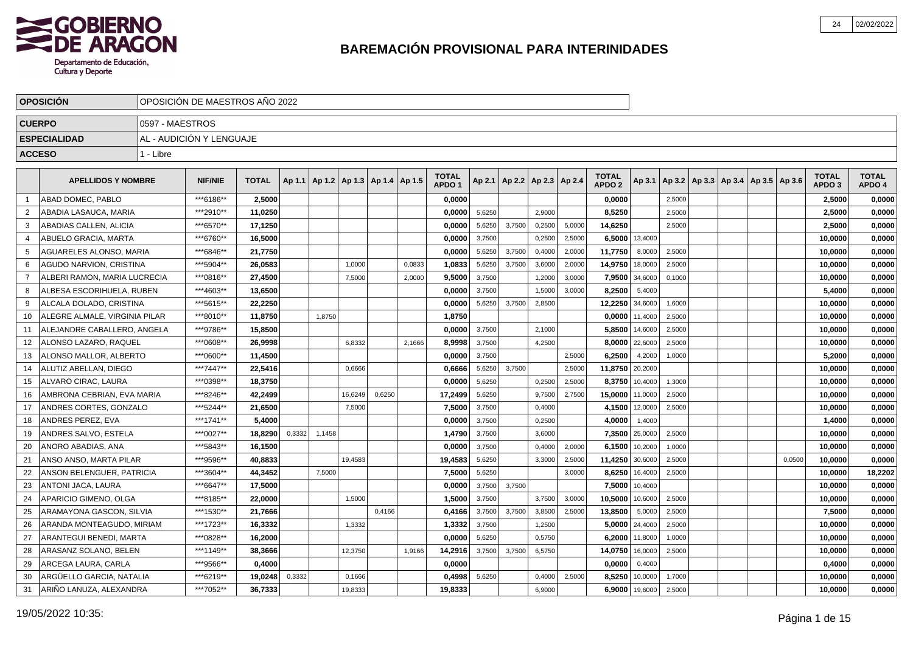

|                | <b>OPOSICION</b>              |                 | OPOSICIÓN DE MAESTROS AÑO 2022 |              |        |        |                                            |        |        |                                   |        |        |                                   |        |                                   |                |                                            |  |        |                                   |                        |
|----------------|-------------------------------|-----------------|--------------------------------|--------------|--------|--------|--------------------------------------------|--------|--------|-----------------------------------|--------|--------|-----------------------------------|--------|-----------------------------------|----------------|--------------------------------------------|--|--------|-----------------------------------|------------------------|
| <b>CUERPO</b>  |                               | 0597 - MAESTROS |                                |              |        |        |                                            |        |        |                                   |        |        |                                   |        |                                   |                |                                            |  |        |                                   |                        |
|                | <b>ESPECIALIDAD</b>           |                 | AL - AUDICIÓN Y LENGUAJE       |              |        |        |                                            |        |        |                                   |        |        |                                   |        |                                   |                |                                            |  |        |                                   |                        |
| <b>ACCESO</b>  |                               | 1 - Libre       |                                |              |        |        |                                            |        |        |                                   |        |        |                                   |        |                                   |                |                                            |  |        |                                   |                        |
|                |                               |                 |                                |              |        |        |                                            |        |        |                                   |        |        |                                   |        |                                   |                |                                            |  |        |                                   |                        |
|                | <b>APELLIDOS Y NOMBRE</b>     |                 | NIF/NIE                        | <b>TOTAL</b> |        |        | Ap 1.1   Ap 1.2   Ap 1.3   Ap 1.4   Ap 1.5 |        |        | <b>TOTAL</b><br>APDO <sub>1</sub> |        |        | Ap 2.1   Ap 2.2   Ap 2.3   Ap 2.4 |        | <b>TOTAL</b><br>APDO <sub>2</sub> | Ap 3.1         | Ap 3.2   Ap 3.3   Ap 3.4   Ap 3.5   Ap 3.6 |  |        | <b>TOTAL</b><br>APDO <sub>3</sub> | <b>TOTAL</b><br>APDO 4 |
|                | ABAD DOMEC, PABLO             |                 | ***6186**                      | 2.5000       |        |        |                                            |        |        | 0,0000                            |        |        |                                   |        | 0.0000                            |                | 2,5000                                     |  |        | 2,5000                            | 0,0000                 |
| 2              | ABADIA LASAUCA, MARIA         |                 | ***2910**                      | 11,0250      |        |        |                                            |        |        | 0.0000                            | 5,6250 |        | 2,9000                            |        | 8,5250                            |                | 2,5000                                     |  |        | 2,5000                            | 0,0000                 |
| -3             | ABADIAS CALLEN, ALICIA        |                 | ***6570**                      | 17,1250      |        |        |                                            |        |        | 0,0000                            | 5,6250 | 3,7500 | 0,2500                            | 5,0000 | 14,6250                           |                | 2,5000                                     |  |        | 2,5000                            | 0,0000                 |
| -4             | ABUELO GRACIA, MARTA          |                 | ***6760**                      | 16,5000      |        |        |                                            |        |        | 0,0000                            | 3,7500 |        | 0,2500                            | 2,5000 | 6,5000                            | 13,4000        |                                            |  |        | 10,0000                           | 0,0000                 |
| 5              | AGUARELES ALONSO, MARIA       |                 | ***6846**                      | 21,7750      |        |        |                                            |        |        | 0,0000                            | 5,6250 | 3,7500 | 0,4000                            | 2,0000 | 11,7750                           | 8,0000         | 2,5000                                     |  |        | 10,0000                           | 0,0000                 |
| -6             | AGUDO NARVION, CRISTINA       |                 | ***5904**                      | 26,0583      |        |        | 1,0000                                     |        | 0,0833 | 1,0833                            | 5,6250 | 3,7500 | 3,6000                            | 2,0000 | 14,9750                           | 18,0000        | 2,5000                                     |  |        | 10,0000                           | 0,0000                 |
| $\overline{7}$ | ALBERI RAMON, MARIA LUCRECIA  |                 | ***0816**                      | 27,4500      |        |        | 7,5000                                     |        | 2,0000 | 9,5000                            | 3,7500 |        | 1,2000                            | 3,0000 | 7,9500                            | 34,6000        | 0,1000                                     |  |        | 10,0000                           | 0,0000                 |
| 8              | ALBESA ESCORIHUELA, RUBEN     |                 | ***4603**                      | 13,6500      |        |        |                                            |        |        | 0,0000                            | 3,7500 |        | 1,5000                            | 3,0000 | 8,2500                            | 5,4000         |                                            |  |        | 5,4000                            | 0,0000                 |
| 9              | ALCALA DOLADO, CRISTINA       |                 | ***5615**                      | 22,2250      |        |        |                                            |        |        | 0,0000                            | 5,6250 | 3,7500 | 2,8500                            |        | 12,2250                           | 34,6000        | 1,6000                                     |  |        | 10,0000                           | 0,0000                 |
| 10             | ALEGRE ALMALE, VIRGINIA PILAR |                 | ***8010**                      | 11,8750      |        | 1,8750 |                                            |        |        | 1,8750                            |        |        |                                   |        | 0,0000                            | 11,4000        | 2,5000                                     |  |        | 10,0000                           | 0,0000                 |
| 11             | ALEJANDRE CABALLERO, ANGELA   |                 | ***9786**                      | 15,8500      |        |        |                                            |        |        | 0,0000                            | 3,7500 |        | 2,1000                            |        | 5,8500                            | 14,6000        | 2,5000                                     |  |        | 10,0000                           | 0,0000                 |
| 12             | ALONSO LAZARO. RAQUEL         |                 | ***0608**                      | 26.9998      |        |        | 6,8332                                     |        | 2,1666 | 8,9998                            | 3,7500 |        | 4,2500                            |        | 8,0000                            | 22,6000        | 2,5000                                     |  |        | 10,0000                           | 0,0000                 |
| 13             | ALONSO MALLOR. ALBERTO        |                 | ***0600**                      | 11,4500      |        |        |                                            |        |        | 0,0000                            | 3,7500 |        |                                   | 2,5000 | 6,2500                            | 4,2000         | 1,0000                                     |  |        | 5.2000                            | 0,0000                 |
| 14             | ALUTIZ ABELLAN. DIEGO         |                 | ***7447**                      | 22,5416      |        |        | 0,6666                                     |        |        | 0,6666                            | 5,6250 | 3.7500 |                                   | 2,5000 | 11,8750                           | 20,2000        |                                            |  |        | 10,0000                           | 0,0000                 |
| 15             | ALVARO CIRAC, LAURA           |                 | ***0398**                      | 18.3750      |        |        |                                            |        |        | 0,0000                            | 5,6250 |        | 0,2500                            | 2,5000 | 8,3750                            | 10,4000        | 1,3000                                     |  |        | 10,0000                           | 0,0000                 |
| 16             | AMBRONA CEBRIAN, EVA MARIA    |                 | ***8246**                      | 42,2499      |        |        | 16,6249                                    | 0,6250 |        | 17,2499                           | 5,6250 |        | 9,7500                            | 2,7500 | 15,0000                           | 11,0000        | 2,5000                                     |  |        | 10,0000                           | 0,0000                 |
| 17             | ANDRES CORTES, GONZALO        |                 | ***5244**                      | 21,6500      |        |        | 7,5000                                     |        |        | 7,5000                            | 3,7500 |        | 0,4000                            |        | 4,1500                            | 12,0000        | 2,5000                                     |  |        | 10,0000                           | 0,0000                 |
| 18             | ANDRES PEREZ, EVA             |                 | ***1741**                      | 5,4000       |        |        |                                            |        |        | 0,0000                            | 3,7500 |        | 0,2500                            |        | 4,0000                            | 1,4000         |                                            |  |        | 1,4000                            | 0,0000                 |
| 19             | ANDRES SALVO, ESTELA          |                 | ***0027**                      | 18.8290      | 0,3332 | 1,1458 |                                            |        |        | 1,4790                            | 3,7500 |        | 3,6000                            |        | 7,3500                            | 25,0000        | 2,5000                                     |  |        | 10,0000                           | 0,0000                 |
| 20             | ANORO ABADIAS, ANA            |                 | ***5843**                      | 16,1500      |        |        |                                            |        |        | 0,0000                            | 3,7500 |        | 0,4000                            | 2,0000 | 6,1500                            | 10,2000        | 1,0000                                     |  |        | 10,0000                           | 0,0000                 |
| 21             | ANSO ANSO, MARTA PILAR        |                 | ***9596**                      | 40,8833      |        |        | 19,4583                                    |        |        | 19,4583                           | 5,6250 |        | 3,3000                            | 2,5000 | 11,4250                           | 30,6000        | 2,5000                                     |  | 0,0500 | 10,0000                           | 0,0000                 |
| 22             | ANSON BELENGUER, PATRICIA     |                 | ***3604**                      | 44,3452      |        | 7,5000 |                                            |        |        | 7,5000                            | 5,6250 |        |                                   | 3,0000 | 8,6250                            | 16,4000        | 2,5000                                     |  |        | 10,0000                           | 18,2202                |
| 23             | ANTONI JACA, LAURA            |                 | ***6647**                      | 17,5000      |        |        |                                            |        |        | 0,0000                            | 3,7500 | 3,7500 |                                   |        | 7,5000                            | 10,4000        |                                            |  |        | 10,0000                           | 0,0000                 |
| 24             | APARICIO GIMENO, OLGA         |                 | ***8185**                      | 22,0000      |        |        | 1,5000                                     |        |        | 1,5000                            | 3,7500 |        | 3,7500                            | 3,0000 | 10,5000                           | 10,6000        | 2,5000                                     |  |        | 10,0000                           | 0,0000                 |
| 25             | ARAMAYONA GASCON, SILVIA      |                 | ***1530**                      | 21,7666      |        |        |                                            | 0,4166 |        | 0,4166                            | 3,7500 | 3,7500 | 3,8500                            | 2,5000 | 13,8500                           | 5,0000         | 2,5000                                     |  |        | 7,5000                            | 0,0000                 |
| 26             | ARANDA MONTEAGUDO, MIRIAM     |                 | ***1723**                      | 16.3332      |        |        | 1,3332                                     |        |        | 1.3332                            | 3,7500 |        | 1,2500                            |        |                                   | 5,0000 24,4000 | 2,5000                                     |  |        | 10.0000                           | 0,0000                 |
| 27             | ARANTEGUI BENEDI, MARTA       |                 | ***0828**                      | 16,2000      |        |        |                                            |        |        | 0.0000                            | 5,6250 |        | 0,5750                            |        | 6,2000                            | 11,8000        | 1,0000                                     |  |        | 10,0000                           | 0,0000                 |
| 28             | ARASANZ SOLANO, BELEN         |                 | ***1149**                      | 38.3666      |        |        | 12,3750                                    |        | 1,9166 | 14,2916                           | 3,7500 | 3,7500 | 6,5750                            |        | 14,0750                           | 16,0000        | 2,5000                                     |  |        | 10,0000                           | 0,0000                 |
| 29             | ARCEGA LAURA, CARLA           |                 | ***9566**                      | 0,4000       |        |        |                                            |        |        | 0,0000                            |        |        |                                   |        | 0,0000                            | 0,4000         |                                            |  |        | 0,4000                            | 0,0000                 |
| 30             | ARGÜELLO GARCIA, NATALIA      |                 | ***6219**                      | 19,0248      | 0,3332 |        | 0,1666                                     |        |        | 0,4998                            | 5,6250 |        | 0,4000                            | 2,5000 | 8,5250                            | 10,0000        | 1,7000                                     |  |        | 10,0000                           | 0,0000                 |
| 31             | ARIÑO LANUZA, ALEXANDRA       |                 | ***7052**                      | 36,7333      |        |        | 19,8333                                    |        |        | 19,8333                           |        |        | 6,9000                            |        | 6,9000                            | 19,6000        | 2,5000                                     |  |        | 10.0000                           | 0,0000                 |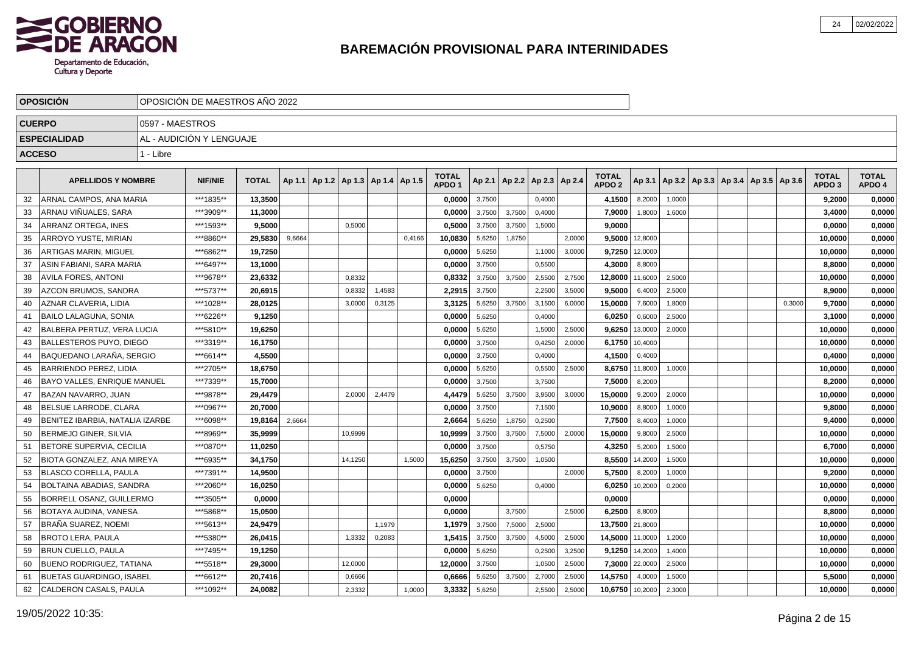

|               | <b>OPOSICIÓN</b>                |                 | OPOSICIÓN DE MAESTROS AÑO 2022 |              |        |                                            |         |        |        |                                   |        |                          |        |        |                                   |                |        |                                                     |        |                                   |                        |
|---------------|---------------------------------|-----------------|--------------------------------|--------------|--------|--------------------------------------------|---------|--------|--------|-----------------------------------|--------|--------------------------|--------|--------|-----------------------------------|----------------|--------|-----------------------------------------------------|--------|-----------------------------------|------------------------|
| <b>CUERPO</b> |                                 | 0597 - MAESTROS |                                |              |        |                                            |         |        |        |                                   |        |                          |        |        |                                   |                |        |                                                     |        |                                   |                        |
|               | <b>ESPECIALIDAD</b>             |                 | AL - AUDICIÓN Y LENGUAJE       |              |        |                                            |         |        |        |                                   |        |                          |        |        |                                   |                |        |                                                     |        |                                   |                        |
| <b>ACCESO</b> |                                 | 1 - Libre       |                                |              |        |                                            |         |        |        |                                   |        |                          |        |        |                                   |                |        |                                                     |        |                                   |                        |
|               |                                 |                 |                                |              |        |                                            |         |        |        |                                   |        |                          |        |        |                                   |                |        |                                                     |        |                                   |                        |
|               | <b>APELLIDOS Y NOMBRE</b>       |                 | <b>NIF/NIE</b>                 | <b>TOTAL</b> |        | Ap 1.1   Ap 1.2   Ap 1.3   Ap 1.4   Ap 1.5 |         |        |        | <b>TOTAL</b><br>APDO <sub>1</sub> | Ap 2.1 | Ap 2.2   Ap 2.3   Ap 2.4 |        |        | <b>TOTAL</b><br>APDO <sub>2</sub> |                |        | Ap 3.1   Ap 3.2   Ap 3.3   Ap 3.4   Ap 3.5   Ap 3.6 |        | <b>TOTAL</b><br>APDO <sub>3</sub> | <b>TOTAL</b><br>APDO 4 |
| 32            | ARNAL CAMPOS, ANA MARIA         |                 | ***1835**                      | 13.3500      |        |                                            |         |        |        | 0.0000                            | 3,7500 |                          | 0.4000 |        | 4,1500                            | 8.2000         | 1.0000 |                                                     |        | 9.2000                            | 0,0000                 |
| 33            | ARNAU VIÑUALES, SARA            |                 | ***3909**                      | 11,3000      |        |                                            |         |        |        | 0.0000                            | 3,7500 | 3,7500                   | 0.4000 |        | 7,9000                            | 1,8000         | 1,6000 |                                                     |        | 3,4000                            | 0,0000                 |
| 34            | ARRANZ ORTEGA. INES             |                 | ***1593**                      | 9.5000       |        |                                            | 0,5000  |        |        | 0.5000                            | 3,7500 | 3,7500                   | 1,5000 |        | 9.0000                            |                |        |                                                     |        | 0.0000                            | 0,0000                 |
| 35            | ARROYO YUSTE, MIRIAN            |                 | ***8860**                      | 29,5830      | 9,6664 |                                            |         |        | 0,4166 | 10,0830                           | 5,6250 | 1,8750                   |        | 2.0000 | 9,5000                            | 12,8000        |        |                                                     |        | 10,0000                           | 0,0000                 |
| 36            | <b>ARTIGAS MARIN, MIGUEL</b>    |                 | ***6862**                      | 19,7250      |        |                                            |         |        |        | 0.0000                            | 5,6250 |                          | 1,1000 | 3.0000 | 9,7250                            | 12,0000        |        |                                                     |        | 10,0000                           | 0,0000                 |
| -37           | ASIN FABIANI, SARA MARIA        |                 | ***6497**                      | 13,1000      |        |                                            |         |        |        | 0.0000                            | 3,7500 |                          | 0,5500 |        | 4,3000                            | 8,8000         |        |                                                     |        | 8,8000                            | 0,0000                 |
| 38            | <b>AVILA FORES, ANTONI</b>      |                 | ***9678**                      | 23,6332      |        |                                            | 0.8332  |        |        | 0,8332                            | 3,7500 | 3.7500                   | 2,5500 | 2,7500 | 12,8000                           | 11,6000        | 2,5000 |                                                     |        | 10,0000                           | 0,0000                 |
| 39            | AZCON BRUMOS, SANDRA            |                 | ***5737**                      | 20,6915      |        |                                            | 0,8332  | 1,4583 |        | 2,2915                            | 3,7500 |                          | 2,2500 | 3,5000 | 9,5000                            | 6,4000         | 2,5000 |                                                     |        | 8,9000                            | 0,0000                 |
| 40            | AZNAR CLAVERIA, LIDIA           |                 | ***1028**                      | 28,0125      |        |                                            | 3,0000  | 0,3125 |        | 3,3125                            | 5,6250 | 3,7500                   | 3,1500 | 6,0000 | 15,0000                           | 7,6000         | 1,8000 |                                                     | 0,3000 | 9,7000                            | 0,0000                 |
| 41            | BAILO LALAGUNA, SONIA           |                 | ***6226**                      | 9,1250       |        |                                            |         |        |        | 0,0000                            | 5,6250 |                          | 0,4000 |        | 6,0250                            | 0,6000         | 2,5000 |                                                     |        | 3,1000                            | 0,0000                 |
| 42            | BALBERA PERTUZ, VERA LUCIA      |                 | ***5810**                      | 19,6250      |        |                                            |         |        |        | 0,0000                            | 5,6250 |                          | 1,5000 | 2,5000 | 9,6250                            | 13,0000        | 2,0000 |                                                     |        | 10,0000                           | 0,0000                 |
| 43            | BALLESTEROS PUYO, DIEGO         |                 | ***3319**                      | 16,1750      |        |                                            |         |        |        | 0,0000                            | 3,7500 |                          | 0,4250 | 2,0000 | 6,1750                            | 10,4000        |        |                                                     |        | 10,0000                           | 0,0000                 |
| 44            | BAQUEDANO LARAÑA, SERGIO        |                 | ***6614**                      | 4,5500       |        |                                            |         |        |        | 0,0000                            | 3,7500 |                          | 0,4000 |        | 4,1500                            | 0,4000         |        |                                                     |        | 0,4000                            | 0,0000                 |
| 45            | <b>BARRIENDO PEREZ, LIDIA</b>   |                 | ***2705**                      | 18,6750      |        |                                            |         |        |        | 0,0000                            | 5,6250 |                          | 0,5500 | 2,5000 | 8,6750                            | 11,8000        | 1,0000 |                                                     |        | 10,0000                           | 0,0000                 |
| 46            | BAYO VALLES, ENRIQUE MANUEL     |                 | ***7339**                      | 15,7000      |        |                                            |         |        |        | 0,0000                            | 3,7500 |                          | 3,7500 |        | 7,5000                            | 8,2000         |        |                                                     |        | 8,2000                            | 0,0000                 |
| 47            | <b>BAZAN NAVARRO, JUAN</b>      |                 | ***9878**                      | 29,4479      |        |                                            | 2,0000  | 2,4479 |        | 4,4479                            | 5,6250 | 3,7500                   | 3,9500 | 3,0000 | 15,0000                           | 9,2000         | 2,0000 |                                                     |        | 10,0000                           | 0,0000                 |
| 48            | BELSUE LARRODE, CLARA           |                 | ***0967**                      | 20,7000      |        |                                            |         |        |        | 0,0000                            | 3,7500 |                          | 7,1500 |        | 10,9000                           | 8,8000         | 1,0000 |                                                     |        | 9,8000                            | 0,0000                 |
| 49            | BENITEZ IBARBIA, NATALIA IZARBE |                 | ***6098**                      | 19,8164      | 2,6664 |                                            |         |        |        | 2,6664                            | 5,6250 | 1,8750                   | 0,2500 |        | 7,7500                            | 8,4000         | 1,0000 |                                                     |        | 9,4000                            | 0,0000                 |
| 50            | <b>BERMEJO GINER, SILVIA</b>    |                 | ***8969**                      | 35,9999      |        |                                            | 10,9999 |        |        | 10,9999                           | 3,7500 | 3,7500                   | 7,5000 | 2,0000 | 15,0000                           | 9,8000         | 2,5000 |                                                     |        | 10,0000                           | 0,0000                 |
| 51            | BETORE SUPERVIA, CECILIA        |                 | ***0870**                      | 11,0250      |        |                                            |         |        |        | 0,0000                            | 3,7500 |                          | 0,5750 |        | 4,3250                            | 5,2000         | 1,5000 |                                                     |        | 6,7000                            | 0,0000                 |
| 52            | BIOTA GONZALEZ, ANA MIREYA      |                 | ***6935**                      | 34,1750      |        |                                            | 14,1250 |        | 1,5000 | 15,6250                           | 3,7500 | 3,7500                   | 1,0500 |        | 8,5500                            | 14,2000        | 1,5000 |                                                     |        | 10,0000                           | 0,0000                 |
| 53            | <b>BLASCO CORELLA, PAULA</b>    |                 | ***7391**                      | 14,9500      |        |                                            |         |        |        | 0,0000                            | 3,7500 |                          |        | 2.0000 | 5,7500                            | 8,2000         | 1,0000 |                                                     |        | 9,2000                            | 0,0000                 |
| 54            | <b>BOLTAINA ABADIAS, SANDRA</b> |                 | ***2060**                      | 16,0250      |        |                                            |         |        |        | 0.0000                            | 5,6250 |                          | 0,4000 |        | 6,0250                            | 10,2000        | 0,2000 |                                                     |        | 10,0000                           | 0,0000                 |
| 55            | BORRELL OSANZ. GUILLERMO        |                 | ***3505**                      | 0.0000       |        |                                            |         |        |        | 0.0000                            |        |                          |        |        | 0.0000                            |                |        |                                                     |        | 0.0000                            | 0,0000                 |
| 56            | BOTAYA AUDINA, VANESA           |                 | ***5868**                      | 15,0500      |        |                                            |         |        |        | 0.0000                            |        | 3,7500                   |        | 2.5000 | 6.2500                            | 8,8000         |        |                                                     |        | 8,8000                            | 0,0000                 |
| 57            | BRAÑA SUAREZ, NOEMI             |                 | ***5613**                      | 24.9479      |        |                                            |         | 1.1979 |        | 1.1979                            | 3,7500 | 7,5000                   | 2,5000 |        | 13.7500 21,8000                   |                |        |                                                     |        | 10.0000                           | 0,0000                 |
| 58            | <b>IBROTO LERA. PAULA</b>       |                 | ***5380**                      | 26,0415      |        |                                            | 1,3332  | 0,2083 |        | 1,5415                            | 3,7500 | 3,7500                   | 4,5000 | 2,5000 | 14,5000                           | 11,0000        | 1,2000 |                                                     |        | 10,0000                           | 0,0000                 |
| 59            | IBRUN CUELLO. PAULA             |                 | ***7495**                      | 19,1250      |        |                                            |         |        |        | 0,0000                            | 5,6250 |                          | 0,2500 | 3,2500 | 9,1250                            | 14,2000        | 1,4000 |                                                     |        | 10,0000                           | 0,0000                 |
| 60            | BUENO RODRIGUEZ, TATIANA        |                 | ***5518**                      | 29,3000      |        |                                            | 12,0000 |        |        | 12,0000                           | 3,7500 |                          | 1,0500 | 2,5000 |                                   | 7,3000 22,0000 | 2,5000 |                                                     |        | 10,0000                           | 0,0000                 |
| 61            | BUETAS GUARDINGO, ISABEL        |                 | ***6612**                      | 20,7416      |        |                                            | 0,6666  |        |        | 0,6666                            | 5,6250 | 3,7500                   | 2,7000 | 2,5000 | 14,5750                           | 4,0000         | 1,5000 |                                                     |        | 5,5000                            | 0,0000                 |
| 62            | CALDERON CASALS, PAULA          |                 | ***1092**                      | 24,0082      |        |                                            | 2,3332  |        | 1,0000 | 3,3332                            | 5,6250 |                          | 2,5500 | 2,5000 | 10,6750 10,2000                   |                | 2,3000 |                                                     |        | 10.0000                           | 0,0000                 |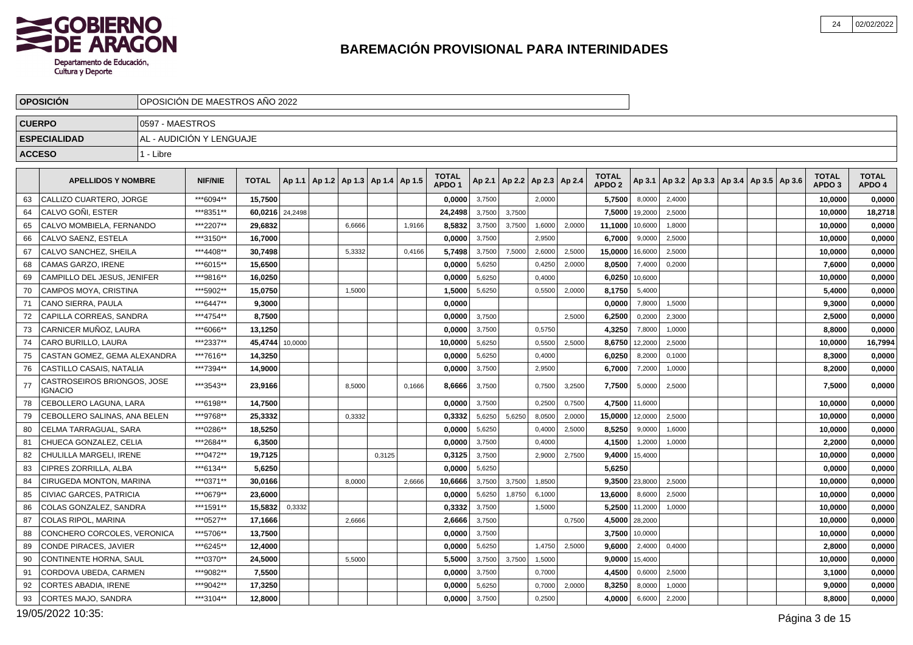

|               | <b>OPOSICION</b>                       |                 | OPOSICION DE MAESTROS ANO 2022 |              |         |                                            |        |        |                                   |        |                 |                 |        |                                   |         |        |                                                |  |                                   |                        |
|---------------|----------------------------------------|-----------------|--------------------------------|--------------|---------|--------------------------------------------|--------|--------|-----------------------------------|--------|-----------------|-----------------|--------|-----------------------------------|---------|--------|------------------------------------------------|--|-----------------------------------|------------------------|
| <b>CUERPO</b> |                                        | 0597 - MAESTROS |                                |              |         |                                            |        |        |                                   |        |                 |                 |        |                                   |         |        |                                                |  |                                   |                        |
|               | <b>ESPECIALIDAD</b>                    |                 | AL - AUDICIÓN Y LENGUAJE       |              |         |                                            |        |        |                                   |        |                 |                 |        |                                   |         |        |                                                |  |                                   |                        |
| <b>ACCESO</b> |                                        | 1 - Libre       |                                |              |         |                                            |        |        |                                   |        |                 |                 |        |                                   |         |        |                                                |  |                                   |                        |
|               | <b>APELLIDOS Y NOMBRE</b>              |                 | <b>NIF/NIE</b>                 | <b>TOTAL</b> |         | Ap 1.1   Ap 1.2   Ap 1.3   Ap 1.4   Ap 1.5 |        |        | <b>TOTAL</b><br>APDO <sub>1</sub> |        | Ap 2.1   Ap 2.2 | Ap 2.3   Ap 2.4 |        | <b>TOTAL</b><br>APDO <sub>2</sub> | Ap 3.1  |        | $ $ Ap 3.2   Ap 3.3   Ap 3.4   Ap 3.5   Ap 3.6 |  | <b>TOTAL</b><br>APDO <sub>3</sub> | <b>TOTAL</b><br>APDO 4 |
| 63            | CALLIZO CUARTERO. JORGE                |                 | ***6094**                      | 15.7500      |         |                                            |        |        | 0.0000                            | 3,7500 |                 | 2,0000          |        | 5,7500                            | 8,0000  | 2,4000 |                                                |  | 10,0000                           | 0,0000                 |
| 64            | CALVO GOÑI. ESTER                      |                 | ***8351**                      | 60,0216      | 24,2498 |                                            |        |        | 24,2498                           | 3,7500 | 3,7500          |                 |        | 7,5000                            | 19,2000 | 2,5000 |                                                |  | 10,0000                           | 18,2718                |
| 65            | CALVO MOMBIELA, FERNANDO               |                 | ***2207**                      | 29.6832      |         | 6.6666                                     |        | 1,9166 | 8,5832                            | 3,7500 | 3,7500          | 1,6000          | 2,0000 | 11,1000                           | 10,6000 | 1,8000 |                                                |  | 10,0000                           | 0,0000                 |
| 66            | CALVO SAENZ, ESTELA                    |                 | ***3150**                      | 16,7000      |         |                                            |        |        | 0,0000                            | 3,7500 |                 | 2,9500          |        | 6,7000                            | 9,0000  | 2,5000 |                                                |  | 10,0000                           | 0,0000                 |
| 67            | CALVO SANCHEZ, SHEILA                  |                 | ***4408**                      | 30,7498      |         | 5,3332                                     |        | 0.4166 | 5,7498                            | 3,7500 | 7.5000          | 2,6000          | 2,5000 | 15,0000                           | 16,6000 | 2,5000 |                                                |  | 10,0000                           | 0,0000                 |
| 68            | CAMAS GARZO, IRENE                     |                 | ***6015**                      | 15,6500      |         |                                            |        |        | 0,0000                            | 5,6250 |                 | 0,4250          | 2,0000 | 8,0500                            | 7,4000  | 0,2000 |                                                |  | 7,6000                            | 0,0000                 |
| 69            | CAMPILLO DEL JESUS, JENIFER            |                 | ***9816**                      | 16.0250      |         |                                            |        |        | 0,0000                            | 5,6250 |                 | 0,4000          |        | 6,0250                            | 10,6000 |        |                                                |  | 10,0000                           | 0,0000                 |
| 70            | CAMPOS MOYA, CRISTINA                  |                 | ***5902**                      | 15,0750      |         | 1,5000                                     |        |        | 1,5000                            | 5,6250 |                 | 0,5500          | 2,0000 | 8,1750                            | 5,4000  |        |                                                |  | 5,4000                            | 0,0000                 |
| 71            | CANO SIERRA, PAULA                     |                 | ***6447**                      | 9,3000       |         |                                            |        |        | 0,0000                            |        |                 |                 |        | 0,0000                            | 7,8000  | 1,5000 |                                                |  | 9,3000                            | 0,0000                 |
| 72            | CAPILLA CORREAS, SANDRA                |                 | ***4754**                      | 8.7500       |         |                                            |        |        | 0.0000                            | 3,7500 |                 |                 | 2.5000 | 6,2500                            | 0,2000  | 2,3000 |                                                |  | 2.5000                            | 0,0000                 |
| 73            | CARNICER MUÑOZ, LAURA                  |                 | ***6066**                      | 13,1250      |         |                                            |        |        | 0,0000                            | 3,7500 |                 | 0,5750          |        | 4,3250                            | 7,8000  | 1,0000 |                                                |  | 8,8000                            | 0,0000                 |
| 74            | CARO BURILLO, LAURA                    |                 | ***2337**                      | 45.4744      | 10,0000 |                                            |        |        | 10.0000                           | 5,6250 |                 | 0,5500          | 2,5000 | 8,6750                            | 12,2000 | 2,5000 |                                                |  | 10,0000                           | 16,7994                |
| 75            | CASTAN GOMEZ, GEMA ALEXANDRA           |                 | ***7616**                      | 14,3250      |         |                                            |        |        | 0,0000                            | 5,6250 |                 | 0,4000          |        | 6,0250                            | 8,2000  | 0,1000 |                                                |  | 8,3000                            | 0,0000                 |
| 76            | CASTILLO CASAIS, NATALIA               |                 | ***7394**                      | 14,9000      |         |                                            |        |        | 0.0000                            | 3,7500 |                 | 2,9500          |        | 6,7000                            | 7,2000  | 1,0000 |                                                |  | 8,2000                            | 0,0000                 |
| 77            | CASTROSEIROS BRIONGOS, JOSE<br>IGNACIO |                 | ***3543**                      | 23,9166      |         | 8,5000                                     |        | 0,1666 | 8,6666                            | 3,7500 |                 | 0,7500          | 3,2500 | 7,7500                            | 5,0000  | 2,5000 |                                                |  | 7,5000                            | 0,0000                 |
| 78            | CEBOLLERO LAGUNA, LARA                 |                 | ***6198**                      | 14,7500      |         |                                            |        |        | 0,0000                            | 3,7500 |                 | 0,2500          | 0,7500 | 4,7500                            | 11,6000 |        |                                                |  | 10,0000                           | 0,0000                 |
| 79            | CEBOLLERO SALINAS, ANA BELEN           |                 | ***9768**                      | 25,3332      |         | 0,3332                                     |        |        | 0,3332                            | 5,6250 | 5,6250          | 8,0500          | 2,0000 | 15,0000                           | 12,0000 | 2,5000 |                                                |  | 10,0000                           | 0,0000                 |
| 80            | CELMA TARRAGUAL, SARA                  |                 | ***0286**                      | 18,5250      |         |                                            |        |        | 0,0000                            | 5,6250 |                 | 0,4000          | 2,5000 | 8,5250                            | 9,0000  | 1,6000 |                                                |  | 10,0000                           | 0,0000                 |
| 81            | CHUECA GONZALEZ. CELIA                 |                 | ***2684**                      | 6.3500       |         |                                            |        |        | 0,0000                            | 3,7500 |                 | 0,4000          |        | 4,1500                            | 1,2000  | 1,0000 |                                                |  | 2,2000                            | 0,0000                 |
| 82            | CHULILLA MARGELI, IRENE                |                 | ***0472**                      | 19,7125      |         |                                            | 0,3125 |        | 0,3125                            | 3,7500 |                 | 2,9000          | 2,7500 | 9,4000                            | 15,4000 |        |                                                |  | 10,0000                           | 0,0000                 |
| 83            | CIPRES ZORRILLA, ALBA                  |                 | ***6134**                      | 5.6250       |         |                                            |        |        | 0.0000                            | 5,6250 |                 |                 |        | 5,6250                            |         |        |                                                |  | 0.0000                            | 0,0000                 |
| 84            | CIRUGEDA MONTON, MARINA                |                 | ***0371**                      | 30,0166      |         | 8,0000                                     |        | 2,6666 | 10,6666                           | 3,7500 | 3,7500          | 1,8500          |        | 9,3500                            | 23,8000 | 2,5000 |                                                |  | 10,0000                           | 0,0000                 |
| 85            | CIVIAC GARCES, PATRICIA                |                 | ***0679**                      | 23,6000      |         |                                            |        |        | 0,0000                            | 5,6250 | 1.8750          | 6,1000          |        | 13,6000                           | 8,6000  | 2,5000 |                                                |  | 10,0000                           | 0,0000                 |
| 86            | COLAS GONZALEZ, SANDRA                 |                 | ***1591**                      | 15,5832      | 0,3332  |                                            |        |        | 0,3332                            | 3,7500 |                 | 1,5000          |        | 5,2500                            | 11,2000 | 1,0000 |                                                |  | 10,0000                           | 0,0000                 |
| 87            | <b>COLAS RIPOL. MARINA</b>             |                 | ***0527**                      | 17.1666      |         | 2,6666                                     |        |        | 2,6666                            | 3,7500 |                 |                 | 0,7500 | 4,5000                            | 28,2000 |        |                                                |  | 10,0000                           | 0,0000                 |
| 88            | CONCHERO CORCOLES, VERONICA            |                 | ***5706**                      | 13,7500      |         |                                            |        |        | 0,0000                            | 3,7500 |                 |                 |        | 3,7500                            | 10,0000 |        |                                                |  | 10,0000                           | 0,0000                 |
| 89            | CONDE PIRACES, JAVIER                  |                 | ***6245**                      | 12,4000      |         |                                            |        |        | 0,0000                            | 5,6250 |                 | 1,4750          | 2,5000 | 9,6000                            | 2,4000  | 0,4000 |                                                |  | 2,8000                            | 0,0000                 |
| 90            | CONTINENTE HORNA, SAUL                 |                 | ***0370**                      | 24,5000      |         | 5,5000                                     |        |        | 5,5000                            | 3,7500 | 3,7500          | 1,5000          |        | 9,0000                            | 15.4000 |        |                                                |  | 10,0000                           | 0,0000                 |
| 91            | CORDOVA UBEDA, CARMEN                  |                 | ***9082**                      | 7,5500       |         |                                            |        |        | 0,0000                            | 3,7500 |                 | 0,7000          |        | 4,4500                            | 0,6000  | 2,5000 |                                                |  | 3,1000                            | 0,0000                 |
| 92            | <b>CORTES ABADIA, IRENE</b>            |                 | ***9042**                      | 17,3250      |         |                                            |        |        | 0,0000                            | 5,6250 |                 | 0,7000          | 2,0000 | 8,3250                            | 8,0000  | 1,0000 |                                                |  | 9,0000                            | 0,0000                 |
| 93            | CORTES MAJO, SANDRA                    |                 | ***3104**                      | 12,8000      |         |                                            |        |        | 0,0000                            | 3,7500 |                 | 0,2500          |        | 4,0000                            | 6,6000  | 2,2000 |                                                |  | 8,8000                            | 0,0000                 |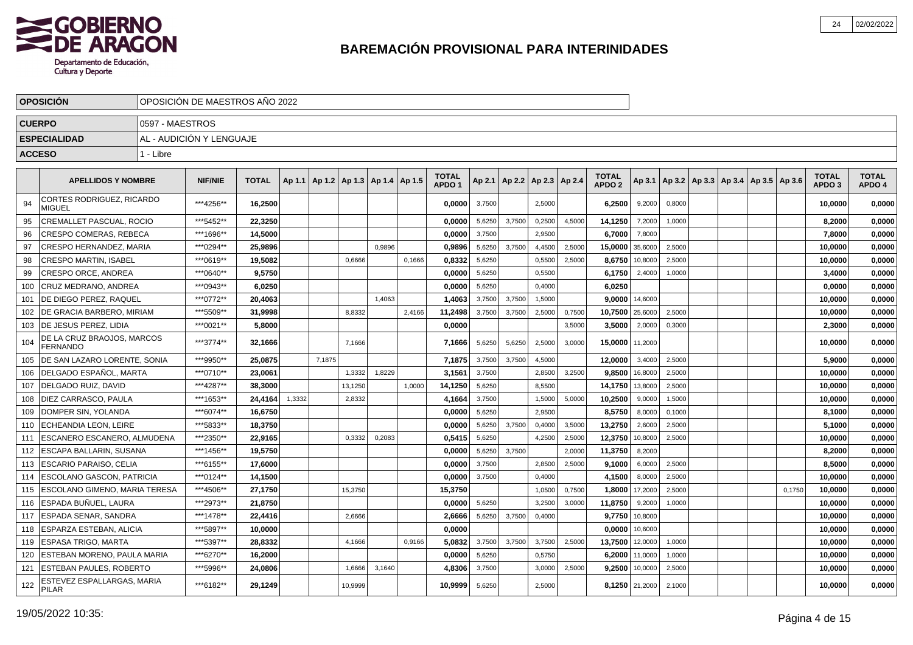

|               | <b>OPOSICION</b>                              |                 | OPOSICIÓN DE MAESTROS AÑO 2022 |              |        |        |                                            |        |        |                                   |        |        |                                   |        |                                   |                |        |  |                                            |        |                            |                        |
|---------------|-----------------------------------------------|-----------------|--------------------------------|--------------|--------|--------|--------------------------------------------|--------|--------|-----------------------------------|--------|--------|-----------------------------------|--------|-----------------------------------|----------------|--------|--|--------------------------------------------|--------|----------------------------|------------------------|
| <b>CUERPO</b> |                                               | 0597 - MAESTROS |                                |              |        |        |                                            |        |        |                                   |        |        |                                   |        |                                   |                |        |  |                                            |        |                            |                        |
|               | <b>ESPECIALIDAD</b>                           |                 | AL - AUDICIÓN Y LENGUAJE       |              |        |        |                                            |        |        |                                   |        |        |                                   |        |                                   |                |        |  |                                            |        |                            |                        |
| <b>ACCESO</b> |                                               | 1 - Libre       |                                |              |        |        |                                            |        |        |                                   |        |        |                                   |        |                                   |                |        |  |                                            |        |                            |                        |
|               |                                               |                 |                                |              |        |        |                                            |        |        |                                   |        |        |                                   |        |                                   |                |        |  |                                            |        |                            |                        |
|               | <b>APELLIDOS Y NOMBRE</b>                     |                 | <b>NIF/NIE</b>                 | <b>TOTAL</b> |        |        | Ap 1.1   Ap 1.2   Ap 1.3   Ap 1.4   Ap 1.5 |        |        | <b>TOTAL</b><br>APDO <sub>1</sub> |        |        | Ap 2.1   Ap 2.2   Ap 2.3   Ap 2.4 |        | <b>TOTAL</b><br>APDO <sub>2</sub> | Ap 3.1         |        |  | Ap 3.2   Ap 3.3   Ap 3.4   Ap 3.5   Ap 3.6 |        | TOTAL<br>APDO <sub>3</sub> | <b>TOTAL</b><br>APDO 4 |
| 94            | CORTES RODRIGUEZ, RICARDO<br><b>MIGUEL</b>    |                 | ***4256**                      | 16.2500      |        |        |                                            |        |        | 0.0000                            | 3,7500 |        | 2,5000                            |        | 6,2500                            | 9,2000         | 0,8000 |  |                                            |        | 10,0000                    | 0,0000                 |
| 95            | CREMALLET PASCUAL, ROCIO                      |                 | ***5452**                      | 22,3250      |        |        |                                            |        |        | 0,0000                            | 5,6250 | 3,7500 | 0,2500                            | 4,5000 | 14,1250                           | 7,2000         | 1,0000 |  |                                            |        | 8,2000                     | 0,0000                 |
| 96            | CRESPO COMERAS, REBECA                        |                 | ***1696**                      | 14,5000      |        |        |                                            |        |        | 0,0000                            | 3,7500 |        | 2,9500                            |        | 6,7000                            | 7,8000         |        |  |                                            |        | 7,8000                     | 0,0000                 |
| 97            | CRESPO HERNANDEZ, MARIA                       |                 | ***0294**                      | 25.9896      |        |        |                                            | 0.9896 |        | 0,9896                            | 5,6250 | 3,7500 | 4,4500                            | 2,5000 | 15,0000                           | 35,6000        | 2,5000 |  |                                            |        | 10,0000                    | 0,0000                 |
| 98            | <b>CRESPO MARTIN, ISABEL</b>                  |                 | ***0619**                      | 19,5082      |        |        | 0,6666                                     |        | 0,1666 | 0,8332                            | 5,6250 |        | 0,5500                            | 2,5000 | 8,6750                            | 10,8000        | 2,5000 |  |                                            |        | 10,0000                    | 0,0000                 |
| 99            | CRESPO ORCE, ANDREA                           |                 | ***0640**                      | 9,5750       |        |        |                                            |        |        | 0,0000                            | 5,6250 |        | 0,5500                            |        | 6,1750                            | 2,4000         | 1,0000 |  |                                            |        | 3,4000                     | 0,0000                 |
| 100           | CRUZ MEDRANO, ANDREA                          |                 | ***0943**                      | 6,0250       |        |        |                                            |        |        | 0,0000                            | 5,6250 |        | 0,4000                            |        | 6,0250                            |                |        |  |                                            |        | 0,0000                     | 0,0000                 |
| 101           | DE DIEGO PEREZ, RAQUEL                        |                 | ***0772**                      | 20,4063      |        |        |                                            | 1.4063 |        | 1,4063                            | 3,7500 | 3.7500 | 1,5000                            |        | 9,0000                            | 14,6000        |        |  |                                            |        | 10,0000                    | 0,0000                 |
| 102           | DE GRACIA BARBERO, MIRIAM                     |                 | ***5509**                      | 31,9998      |        |        | 8,8332                                     |        | 2,4166 | 11,2498                           | 3,7500 | 3,7500 | 2,5000                            | 0,7500 | 10,7500                           | 25,6000        | 2,5000 |  |                                            |        | 10,0000                    | 0,0000                 |
| 103           | <b>IDE JESUS PEREZ. LIDIA</b>                 |                 | ***0021**                      | 5,8000       |        |        |                                            |        |        | 0,0000                            |        |        |                                   | 3,5000 | 3,5000                            | 2,0000         | 0,3000 |  |                                            |        | 2,3000                     | 0,0000                 |
| 104           | DE LA CRUZ BRAOJOS, MARCOS<br><b>FERNANDO</b> |                 | ***3774**                      | 32,1666      |        |        | 7.1666                                     |        |        | 7.1666                            | 5,6250 | 5.6250 | 2,5000                            | 3.0000 | 15,0000                           | 11,2000        |        |  |                                            |        | 10.0000                    | 0,0000                 |
| 105           | DE SAN LAZARO LORENTE, SONIA                  |                 | ***9950**                      | 25,0875      |        | 7,1875 |                                            |        |        | 7,1875                            | 3,7500 | 3,7500 | 4,5000                            |        | 12,0000                           | 3,4000         | 2,5000 |  |                                            |        | 5,9000                     | 0,0000                 |
| 106           | DELGADO ESPAÑOL, MARTA                        |                 | ***0710**                      | 23,0061      |        |        | 1,3332                                     | 1,8229 |        | 3,1561                            | 3,7500 |        | 2,8500                            | 3,2500 | 9,8500                            | 16,8000        | 2,5000 |  |                                            |        | 10,0000                    | 0,0000                 |
| 107           | DELGADO RUIZ, DAVID                           |                 | ***4287**                      | 38,3000      |        |        | 13,1250                                    |        | 1.0000 | 14,1250                           | 5,6250 |        | 8,5500                            |        | 14,1750                           | 13,8000        | 2,5000 |  |                                            |        | 10,0000                    | 0,0000                 |
| 108           | DIEZ CARRASCO, PAULA                          |                 | ***1653**                      | 24.4164      | 1,3332 |        | 2,8332                                     |        |        | 4,1664                            | 3,7500 |        | 1,5000                            | 5,0000 | 10,2500                           | 9,0000         | 1,5000 |  |                                            |        | 10,0000                    | 0,0000                 |
| 109           | DOMPER SIN, YOLANDA                           |                 | ***6074**                      | 16,6750      |        |        |                                            |        |        | 0.0000                            | 5,6250 |        | 2,9500                            |        | 8,5750                            | 8,0000         | 0,1000 |  |                                            |        | 8,1000                     | 0,0000                 |
| 110           | ECHEANDIA LEON, LEIRE                         |                 | ***5833**                      | 18,3750      |        |        |                                            |        |        | 0,0000                            | 5,6250 | 3.7500 | 0,4000                            | 3,5000 | 13,2750                           | 2,6000         | 2,5000 |  |                                            |        | 5,1000                     | 0,0000                 |
| 111           | ESCANERO ESCANERO, ALMUDENA                   |                 | ***2350**                      | 22.9165      |        |        | 0,3332                                     | 0,2083 |        | 0,5415                            | 5,6250 |        | 4,2500                            | 2,5000 | 12,3750                           | 10,8000        | 2,5000 |  |                                            |        | 10,0000                    | 0,0000                 |
| 112           | <b>ESCAPA BALLARIN, SUSANA</b>                |                 | ***1456**                      | 19,5750      |        |        |                                            |        |        | 0,0000                            | 5,6250 | 3,7500 |                                   | 2,0000 | 11,3750                           | 8,2000         |        |  |                                            |        | 8,2000                     | 0,0000                 |
| 113           | <b>ESCARIO PARAISO, CELIA</b>                 |                 | ***6155**                      | 17,6000      |        |        |                                            |        |        | 0,0000                            | 3,7500 |        | 2,8500                            | 2,5000 | 9,1000                            | 6,0000         | 2,5000 |  |                                            |        | 8,5000                     | 0,0000                 |
| 114           | <b>ESCOLANO GASCON, PATRICIA</b>              |                 | ***0124**                      | 14,1500      |        |        |                                            |        |        | 0,0000                            | 3,7500 |        | 0,4000                            |        | 4,1500                            | 8,0000         | 2,5000 |  |                                            |        | 10,0000                    | 0,0000                 |
| 115           | I ESCOLANO GIMENO. MARIA TERESA               |                 | ***4506**                      | 27.1750      |        |        | 15,3750                                    |        |        | 15,3750                           |        |        | 1,0500                            | 0,7500 | 1,8000                            | 17,2000        | 2,5000 |  |                                            | 0,1750 | 10,0000                    | 0,0000                 |
| 116           | lESPADA BUÑUEL. LAURA                         |                 | ***2973**                      | 21.8750      |        |        |                                            |        |        | 0.0000                            | 5,6250 |        | 3,2500                            | 3,0000 | 11,8750                           | 9,2000         | 1.0000 |  |                                            |        | 10,0000                    | 0,0000                 |
| 117           | <b>LESPADA SENAR. SANDRA</b>                  |                 | ***1478**                      | 22,4416      |        |        | 2,6666                                     |        |        | 2,6666                            | 5,6250 | 3,7500 | 0,4000                            |        | 9,7750                            | 10,8000        |        |  |                                            |        | 10,0000                    | 0,0000                 |
| 118           | <b>ESPARZA ESTEBAN, ALICIA</b>                |                 | ***5897**                      | 10,0000      |        |        |                                            |        |        | 0,0000                            |        |        |                                   |        | 0,0000                            | 10,6000        |        |  |                                            |        | 10,0000                    | 0,0000                 |
| 119           | ESPASA TRIGO, MARTA                           |                 | ***5397**                      | 28,8332      |        |        | 4,1666                                     |        | 0,9166 | 5,0832                            | 3,7500 | 3,7500 | 3,7500                            | 2,5000 | 13,7500                           | 12,0000        | 1,0000 |  |                                            |        | 10,0000                    | 0,0000                 |
| 120           | <b>ESTEBAN MORENO, PAULA MARIA</b>            |                 | ***6270**                      | 16,2000      |        |        |                                            |        |        | 0,0000                            | 5,6250 |        | 0,5750                            |        | 6,2000                            | 11,0000        | 1,0000 |  |                                            |        | 10,0000                    | 0,0000                 |
| 121           | <b>ESTEBAN PAULES, ROBERTO</b>                |                 | ***5996**                      | 24,0806      |        |        | 1,6666                                     | 3,1640 |        | 4,8306                            | 3,7500 |        | 3,0000                            | 2,5000 | 9,2500                            | 10,0000        | 2,5000 |  |                                            |        | 10,0000                    | 0,0000                 |
| 122           | ESTEVEZ ESPALLARGAS, MARIA<br><b>PILAR</b>    |                 | ***6182**                      | 29,1249      |        |        | 10,9999                                    |        |        | 10.9999                           | 5,6250 |        | 2,5000                            |        |                                   | 8,1250 21,2000 | 2,1000 |  |                                            |        | 10,0000                    | 0,0000                 |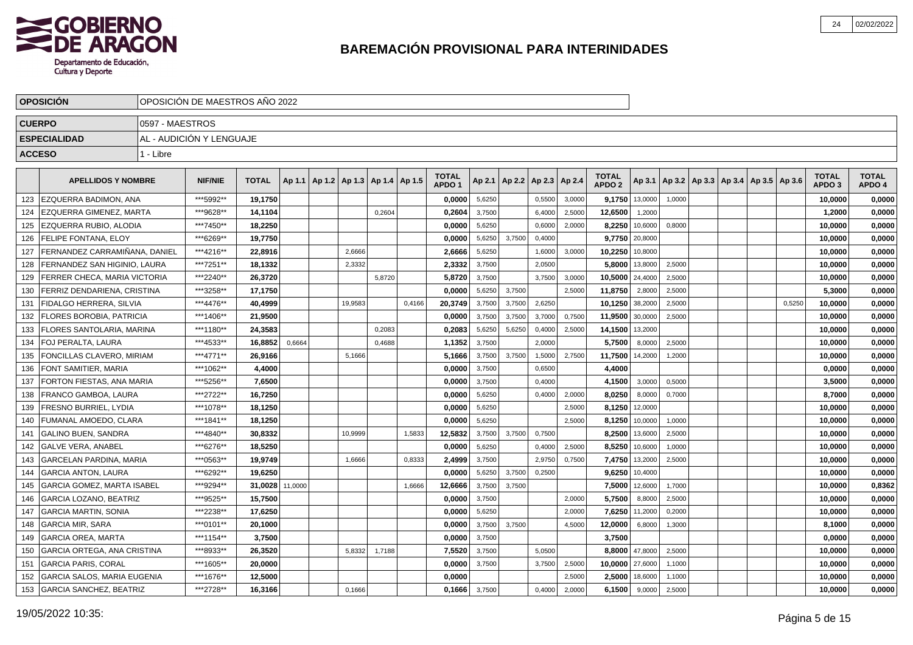

|     | <b>OPOSICION</b>                   |                 | OPOSICION DE MAESTROS ANO 2022 |              |         |                                   |        |        |                                   |        |        |                 |        |                                   |         |        |  |                                            |        |                                   |                        |
|-----|------------------------------------|-----------------|--------------------------------|--------------|---------|-----------------------------------|--------|--------|-----------------------------------|--------|--------|-----------------|--------|-----------------------------------|---------|--------|--|--------------------------------------------|--------|-----------------------------------|------------------------|
|     | <b>CUERPO</b>                      | 0597 - MAESTROS |                                |              |         |                                   |        |        |                                   |        |        |                 |        |                                   |         |        |  |                                            |        |                                   |                        |
|     | <b>ESPECIALIDAD</b>                |                 | AL - AUDICIÓN Y LENGUAJE       |              |         |                                   |        |        |                                   |        |        |                 |        |                                   |         |        |  |                                            |        |                                   |                        |
|     | <b>ACCESO</b>                      | 1 - Libre       |                                |              |         |                                   |        |        |                                   |        |        |                 |        |                                   |         |        |  |                                            |        |                                   |                        |
|     |                                    |                 |                                |              |         |                                   |        |        |                                   |        |        |                 |        |                                   |         |        |  |                                            |        |                                   |                        |
|     | <b>APELLIDOS Y NOMBRE</b>          |                 | <b>NIF/NIE</b>                 | <b>TOTAL</b> | Ap 1.1  | Ap 1.2   Ap 1.3   Ap 1.4   Ap 1.5 |        |        | <b>TOTAL</b><br>APDO <sub>1</sub> | Ap 2.1 | Ap 2.2 | Ap 2.3   Ap 2.4 |        | <b>TOTAL</b><br>APDO <sub>2</sub> | Ap 3.1  |        |  | Ap 3.2   Ap 3.3   Ap 3.4   Ap 3.5   Ap 3.6 |        | <b>TOTAL</b><br>APDO <sub>3</sub> | <b>TOTAL</b><br>APDO 4 |
| 123 | <b>LEZQUERRA BADIMON. ANA</b>      |                 | ***5992**                      | 19.1750      |         |                                   |        |        | 0.0000                            | 5,6250 |        | 0,5500          | 3,0000 | 9,1750                            | 13,0000 | 1,0000 |  |                                            |        | 10,0000                           | 0,0000                 |
| 124 | <b>EZQUERRA GIMENEZ. MARTA</b>     |                 | ***9628**                      | 14,1104      |         |                                   | 0,2604 |        | 0,2604                            | 3,7500 |        | 6,4000          | 2,5000 | 12,6500                           | 1,2000  |        |  |                                            |        | 1,2000                            | 0,0000                 |
| 125 | EZQUERRA RUBIO, ALODIA             |                 | ***7450**                      | 18,2250      |         |                                   |        |        | 0,0000                            | 5,6250 |        | 0,6000          | 2,0000 | 8,2250                            | 10,6000 | 0,8000 |  |                                            |        | 10,0000                           | 0,0000                 |
| 126 | <b>FELIPE FONTANA, ELOY</b>        |                 | ***6269**                      | 19,7750      |         |                                   |        |        | 0,0000                            | 5,6250 | 3,7500 | 0,4000          |        | 9,7750                            | 20,8000 |        |  |                                            |        | 10,0000                           | 0,0000                 |
| 127 | FERNANDEZ CARRAMIÑANA, DANIEL      |                 | ***4216**                      | 22,8916      |         | 2,6666                            |        |        | 2,6666                            | 5,6250 |        | 1,6000          | 3,0000 | 10,2250                           | 10,8000 |        |  |                                            |        | 10,0000                           | 0,0000                 |
| 128 | FERNANDEZ SAN HIGINIO, LAURA       |                 | ***7251**                      | 18,1332      |         | 2.3332                            |        |        | 2,3332                            | 3,7500 |        | 2,0500          |        | 5,8000                            | 13,8000 | 2,5000 |  |                                            |        | 10.0000                           | 0,0000                 |
| 129 | I FERRER CHECA. MARIA VICTORIA     |                 | ***2240**                      | 26.3720      |         |                                   | 5,8720 |        | 5.8720                            | 3,7500 |        | 3,7500          | 3,0000 | 10,5000                           | 24,4000 | 2,5000 |  |                                            |        | 10,0000                           | 0,0000                 |
| 130 | <b>FERRIZ DENDARIENA, CRISTINA</b> |                 | ***3258**                      | 17,1750      |         |                                   |        |        | 0.0000                            | 5,6250 | 3,7500 |                 | 2,5000 | 11,8750                           | 2,8000  | 2,5000 |  |                                            |        | 5,3000                            | 0,0000                 |
| 131 | <b>FIDALGO HERRERA, SILVIA</b>     |                 | ***4476**                      | 40,4999      |         | 19,9583                           |        | 0,4166 | 20,3749                           | 3,7500 | 3,7500 | 2,6250          |        | 10,1250                           | 38,2000 | 2,5000 |  |                                            | 0,5250 | 10,0000                           | 0,0000                 |
| 132 | <b>FLORES BOROBIA. PATRICIA</b>    |                 | ***1406**                      | 21,9500      |         |                                   |        |        | 0,0000                            | 3,7500 | 3,7500 | 3,7000          | 0,7500 | 11,9500                           | 30,0000 | 2,5000 |  |                                            |        | 10,0000                           | 0,0000                 |
| 133 | <b>FLORES SANTOLARIA, MARINA</b>   |                 | ***1180**                      | 24,3583      |         |                                   | 0,2083 |        | 0,2083                            | 5,6250 | 5,6250 | 0,4000          | 2,5000 | 14,1500                           | 13,2000 |        |  |                                            |        | 10,0000                           | 0,0000                 |
| 134 | FOJ PERALTA. LAURA                 |                 | ***4533**                      | 16,8852      | 0,6664  |                                   | 0.4688 |        | 1,1352                            | 3,7500 |        | 2,0000          |        | 5,7500                            | 8,0000  | 2,5000 |  |                                            |        | 10.0000                           | 0,0000                 |
| 135 | FONCILLAS CLAVERO. MIRIAM          |                 | ***4771**                      | 26,9166      |         | 5,1666                            |        |        | 5,1666                            | 3,7500 | 3,7500 | 1,5000          | 2,7500 | 11,7500                           | 14,2000 | 1,2000 |  |                                            |        | 10,0000                           | 0,0000                 |
| 136 | FONT SAMITIER. MARIA               |                 | ***1062**                      | 4,4000       |         |                                   |        |        | 0,0000                            | 3,7500 |        | 0,6500          |        | 4,4000                            |         |        |  |                                            |        | 0,0000                            | 0,0000                 |
| 137 | FORTON FIESTAS, ANA MARIA          |                 | ***5256**                      | 7,6500       |         |                                   |        |        | 0,0000                            | 3,7500 |        | 0,4000          |        | 4,1500                            | 3,0000  | 0,5000 |  |                                            |        | 3,5000                            | 0,0000                 |
| 138 | FRANCO GAMBOA, LAURA               |                 | ***2722**                      | 16,7250      |         |                                   |        |        | 0,0000                            | 5,6250 |        | 0,4000          | 2,0000 | 8,0250                            | 8,0000  | 0,7000 |  |                                            |        | 8,7000                            | 0,0000                 |
| 139 | FRESNO BURRIEL, LYDIA              |                 | ***1078**                      | 18,1250      |         |                                   |        |        | 0,0000                            | 5,6250 |        |                 | 2,5000 | 8,1250                            | 12,0000 |        |  |                                            |        | 10,0000                           | 0,0000                 |
| 140 | FUMANAL AMOEDO, CLARA              |                 | ***1841**                      | 18.1250      |         |                                   |        |        | 0.0000                            | 5,6250 |        |                 | 2.5000 | 8,1250                            | 10,0000 | 1,0000 |  |                                            |        | 10.0000                           | 0,0000                 |
| 141 | <b>GALINO BUEN, SANDRA</b>         |                 | ***4840**                      | 30.8332      |         | 10,9999                           |        | 1,5833 | 12,5832                           | 3,7500 | 3.7500 | 0,7500          |        | 8,2500                            | 13,6000 | 2,5000 |  |                                            |        | 10,0000                           | 0,0000                 |
| 142 | <b>GALVE VERA, ANABEL</b>          |                 | ***6276**                      | 18,5250      |         |                                   |        |        | 0.0000                            | 5,6250 |        | 0,4000          | 2,5000 | 8,5250                            | 10,6000 | 1,0000 |  |                                            |        | 10,0000                           | 0,0000                 |
| 143 | <b>GARCELAN PARDINA, MARIA</b>     |                 | ***0563**                      | 19,9749      |         | 1,6666                            |        | 0,8333 | 2,4999                            | 3,7500 |        | 2,9750          | 0,7500 | 7,4750                            | 13,2000 | 2,5000 |  |                                            |        | 10,0000                           | 0,0000                 |
| 144 | <b>GARCIA ANTON, LAURA</b>         |                 | ***6292**                      | 19,6250      |         |                                   |        |        | 0,0000                            | 5,6250 | 3,7500 | 0,2500          |        | 9,6250                            | 10,4000 |        |  |                                            |        | 10,0000                           | 0,0000                 |
| 145 | GARCIA GOMEZ, MARTA ISABEL         |                 | ***9294**                      | 31,0028      | 11,0000 |                                   |        | 1,6666 | 12,6666                           | 3,7500 | 3,7500 |                 |        | 7,5000                            | 12,6000 | 1,7000 |  |                                            |        | 10,0000                           | 0,8362                 |
| 146 | <b>GARCIA LOZANO. BEATRIZ</b>      |                 | ***9525**                      | 15.7500      |         |                                   |        |        | 0.0000                            | 3,7500 |        |                 | 2,0000 | 5.7500                            | 8,8000  | 2,5000 |  |                                            |        | 10.0000                           | 0,0000                 |
| 147 | <b>GARCIA MARTIN, SONIA</b>        |                 | ***2238**                      | 17,6250      |         |                                   |        |        | 0.0000                            | 5,6250 |        |                 | 2,0000 | 7,6250                            | 11,2000 | 0,2000 |  |                                            |        | 10.0000                           | 0,0000                 |
| 148 | <b>GARCIA MIR. SARA</b>            |                 | ***0101**                      | 20,1000      |         |                                   |        |        | 0,0000                            | 3,7500 | 3,7500 |                 | 4,5000 | 12,0000                           | 6,8000  | 1,3000 |  |                                            |        | 8,1000                            | 0,0000                 |
| 149 | <b>GARCIA OREA, MARTA</b>          |                 | ***1154**                      | 3,7500       |         |                                   |        |        | 0,0000                            | 3,7500 |        |                 |        | 3,7500                            |         |        |  |                                            |        | 0,0000                            | 0,0000                 |
| 150 | <b>GARCIA ORTEGA, ANA CRISTINA</b> |                 | ***8933**                      | 26,3520      |         | 5,8332                            | 1,7188 |        | 7,5520                            | 3,7500 |        | 5,0500          |        | 8,8000                            | 47,8000 | 2,5000 |  |                                            |        | 10,0000                           | 0,0000                 |
| 151 | <b>GARCIA PARIS, CORAL</b>         |                 | ***1605**                      | 20,0000      |         |                                   |        |        | 0,0000                            | 3,7500 |        | 3,7500          | 2,5000 | 10,0000                           | 27,6000 | 1,1000 |  |                                            |        | 10,0000                           | 0,0000                 |
| 152 | GARCIA SALOS. MARIA EUGENIA        |                 | ***1676**                      | 12.5000      |         |                                   |        |        | 0.0000                            |        |        |                 | 2,5000 | 2,5000                            | 18,6000 | 1,1000 |  |                                            |        | 10.0000                           | 0,0000                 |
|     | 153 GARCIA SANCHEZ, BEATRIZ        |                 | ***2728**                      | 16,3166      |         | 0,1666                            |        |        | 0,1666                            | 3,7500 |        | 0,4000          | 2,0000 | 6,1500                            | 9,0000  | 2,5000 |  |                                            |        | 10,0000                           | 0,0000                 |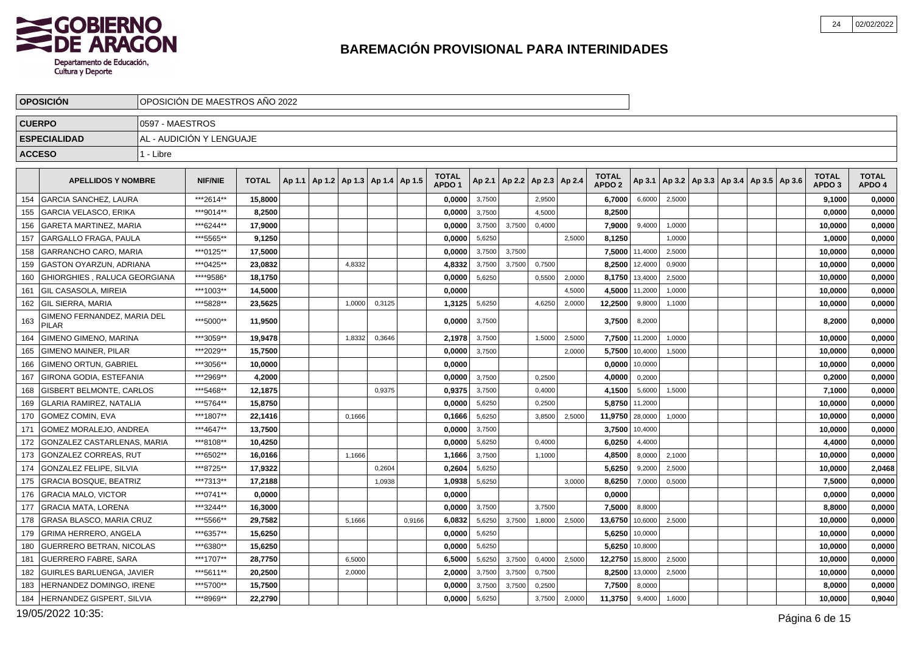

|     | <b>OPOSICIÓN</b>                            |                 | OPOSICIÓN DE MAESTROS AÑO 2022 |              |        |                                   |        |        |                                   |        |        |                                   |        |                                   |         |        |                                            |  |                                   |                        |
|-----|---------------------------------------------|-----------------|--------------------------------|--------------|--------|-----------------------------------|--------|--------|-----------------------------------|--------|--------|-----------------------------------|--------|-----------------------------------|---------|--------|--------------------------------------------|--|-----------------------------------|------------------------|
|     | <b>CUERPO</b>                               | 0597 - MAESTROS |                                |              |        |                                   |        |        |                                   |        |        |                                   |        |                                   |         |        |                                            |  |                                   |                        |
|     | <b>ESPECIALIDAD</b>                         |                 | AL - AUDICIÓN Y LENGUAJE       |              |        |                                   |        |        |                                   |        |        |                                   |        |                                   |         |        |                                            |  |                                   |                        |
|     | <b>ACCESO</b>                               | 1 - Libre       |                                |              |        |                                   |        |        |                                   |        |        |                                   |        |                                   |         |        |                                            |  |                                   |                        |
|     |                                             |                 |                                |              |        |                                   |        |        |                                   |        |        |                                   |        |                                   |         |        |                                            |  |                                   |                        |
|     | <b>APELLIDOS Y NOMBRE</b>                   |                 | <b>NIF/NIE</b>                 | <b>TOTAL</b> | Ap 1.1 | Ap 1.2   Ap 1.3   Ap 1.4   Ap 1.5 |        |        | <b>TOTAL</b><br>APDO <sub>1</sub> |        |        | Ap 2.1   Ap 2.2   Ap 2.3   Ap 2.4 |        | <b>TOTAL</b><br>APDO <sub>2</sub> | Ap 3.1  |        | Ap 3.2   Ap 3.3   Ap 3.4   Ap 3.5   Ap 3.6 |  | <b>TOTAL</b><br>APDO <sub>3</sub> | <b>TOTAL</b><br>APDO 4 |
| 154 | <b>GARCIA SANCHEZ, LAURA</b>                |                 | ***2614**                      | 15.8000      |        |                                   |        |        | 0,0000                            | 3,7500 |        | 2,9500                            |        | 6,7000                            | 6.6000  | 2,5000 |                                            |  | 9,1000                            | 0,0000                 |
| 155 | <b>GARCIA VELASCO, ERIKA</b>                |                 | ***9014**                      | 8,2500       |        |                                   |        |        | 0,0000                            | 3,7500 |        | 4,5000                            |        | 8,2500                            |         |        |                                            |  | 0,0000                            | 0,0000                 |
| 156 | <b>GARETA MARTINEZ. MARIA</b>               |                 | ***6244**                      | 17,9000      |        |                                   |        |        | 0,0000                            | 3,7500 | 3,7500 | 0,4000                            |        | 7,9000                            | 9,4000  | 1,0000 |                                            |  | 10,0000                           | 0,0000                 |
| 157 | <b>GARGALLO FRAGA, PAULA</b>                |                 | ***5565**                      | 9,1250       |        |                                   |        |        | 0,0000                            | 5,6250 |        |                                   | 2.5000 | 8,1250                            |         | 1.0000 |                                            |  | 1,0000                            | 0,0000                 |
| 158 | <b>GARRANCHO CARO, MARIA</b>                |                 | ***0125**                      | 17,5000      |        |                                   |        |        | 0,0000                            | 3,7500 | 3,7500 |                                   |        | 7,5000                            | 11,4000 | 2,5000 |                                            |  | 10,0000                           | 0,0000                 |
| 159 | <b>GASTON OYARZUN, ADRIANA</b>              |                 | ***0425**                      | 23,0832      |        | 4,8332                            |        |        | 4,8332                            | 3,7500 | 3,7500 | 0,7500                            |        | 8,2500                            | 12,4000 | 0,9000 |                                            |  | 10,0000                           | 0,0000                 |
| 160 | GHIORGHIES, RALUCA GEORGIANA                |                 | ****9586*                      | 18,1750      |        |                                   |        |        | 0,0000                            | 5,6250 |        | 0,5500                            | 2,0000 | 8,1750                            | 13,4000 | 2,5000 |                                            |  | 10,0000                           | 0,0000                 |
| 161 | I GIL CASASOLA. MIREIA                      |                 | ***1003**                      | 14,5000      |        |                                   |        |        | 0,0000                            |        |        |                                   | 4,5000 | 4,5000                            | 11,2000 | 1,0000 |                                            |  | 10,0000                           | 0,0000                 |
| 162 | <b>GIL SIERRA, MARIA</b>                    |                 | ***5828**                      | 23,5625      |        | 1,0000                            | 0,3125 |        | 1,3125                            | 5,6250 |        | 4,6250                            | 2,0000 | 12,2500                           | 9,8000  | 1,1000 |                                            |  | 10,0000                           | 0,0000                 |
| 163 | GIMENO FERNANDEZ, MARIA DEL<br><b>PILAR</b> |                 | ***5000**                      | 11,9500      |        |                                   |        |        | 0,0000                            | 3,7500 |        |                                   |        | 3,7500                            | 8,2000  |        |                                            |  | 8,2000                            | 0,0000                 |
| 164 | <b>GIMENO GIMENO, MARINA</b>                |                 | ***3059**                      | 19.9478      |        | 1,8332                            | 0,3646 |        | 2.1978                            | 3,7500 |        | 1,5000                            | 2,5000 | 7.7500                            | 11,2000 | 1,0000 |                                            |  | 10.0000                           | 0,0000                 |
| 165 | <b>GIMENO MAINER, PILAR</b>                 |                 | ***2029**                      | 15,7500      |        |                                   |        |        | 0,0000                            | 3,7500 |        |                                   | 2,0000 | 5,7500                            | 10,4000 | 1,5000 |                                            |  | 10,0000                           | 0,0000                 |
| 166 | <b>GIMENO ORTUN, GABRIEL</b>                |                 | ***3056**                      | 10.0000      |        |                                   |        |        | 0.0000                            |        |        |                                   |        | 0,0000                            | 10,0000 |        |                                            |  | 10,0000                           | 0,0000                 |
| 167 | GIRONA GODIA, ESTEFANIA                     |                 | ***2969**                      | 4,2000       |        |                                   |        |        | 0,0000                            | 3,7500 |        | 0,2500                            |        | 4,0000                            | 0,2000  |        |                                            |  | 0,2000                            | 0,0000                 |
| 168 | GISBERT BELMONTE, CARLOS                    |                 | ***5468**                      | 12,1875      |        |                                   | 0.9375 |        | 0,9375                            | 3,7500 |        | 0,4000                            |        | 4,1500                            | 5,6000  | 1,5000 |                                            |  | 7,1000                            | 0,0000                 |
| 169 | <b>GLARIA RAMIREZ, NATALIA</b>              |                 | ***5764**                      | 15,8750      |        |                                   |        |        | 0,0000                            | 5,6250 |        | 0,2500                            |        | 5,8750                            | 11,2000 |        |                                            |  | 10,0000                           | 0,0000                 |
| 170 | <b>GOMEZ COMIN, EVA</b>                     |                 | ***1807**                      | 22,1416      |        | 0,1666                            |        |        | 0,1666                            | 5,6250 |        | 3,8500                            | 2,5000 | 11,9750                           | 28,0000 | 1,0000 |                                            |  | 10,0000                           | 0,0000                 |
| 171 | GOMEZ MORALEJO. ANDREA                      |                 | ***4647**                      | 13,7500      |        |                                   |        |        | 0,0000                            | 3,7500 |        |                                   |        | 3,7500                            | 10,4000 |        |                                            |  | 10,0000                           | 0,0000                 |
| 172 | <b>GONZALEZ CASTARLENAS, MARIA</b>          |                 | ***8108**                      | 10,4250      |        |                                   |        |        | 0,0000                            | 5,6250 |        | 0,4000                            |        | 6,0250                            | 4,4000  |        |                                            |  | 4,4000                            | 0,0000                 |
| 173 | GONZALEZ CORREAS. RUT                       |                 | ***6502**                      | 16,0166      |        | 1.1666                            |        |        | 1,1666                            | 3,7500 |        | 1,1000                            |        | 4,8500                            | 8,0000  | 2,1000 |                                            |  | 10,0000                           | 0,0000                 |
| 174 | <b>GONZALEZ FELIPE, SILVIA</b>              |                 | ***8725**                      | 17,9322      |        |                                   | 0,2604 |        | 0,2604                            | 5,6250 |        |                                   |        | 5,6250                            | 9,2000  | 2,5000 |                                            |  | 10,0000                           | 2,0468                 |
| 175 | <b>GRACIA BOSQUE. BEATRIZ</b>               |                 | ***7313**                      | 17,2188      |        |                                   | 1,0938 |        | 1,0938                            | 5,6250 |        |                                   | 3,0000 | 8,6250                            | 7,0000  | 0,5000 |                                            |  | 7,5000                            | 0,0000                 |
| 176 | <b>GRACIA MALO, VICTOR</b>                  |                 | ***0741**                      | 0,0000       |        |                                   |        |        | 0,0000                            |        |        |                                   |        | 0,0000                            |         |        |                                            |  | 0,0000                            | 0,0000                 |
| 177 | <b>GRACIA MATA, LORENA</b>                  |                 | ***3244**                      | 16,3000      |        |                                   |        |        | 0,0000                            | 3,7500 |        | 3,7500                            |        | 7,5000                            | 8,8000  |        |                                            |  | 8,8000                            | 0,0000                 |
| 178 | GRASA BLASCO, MARIA CRUZ                    |                 | ***5566**                      | 29.7582      |        | 5,1666                            |        | 0,9166 | 6.0832                            | 5,6250 | 3.7500 | 1,8000                            | 2,5000 | 13,6750                           | 10,6000 | 2,5000 |                                            |  | 10.0000                           | 0,0000                 |
| 179 | <b>GRIMA HERRERO, ANGELA</b>                |                 | ***6357**                      | 15,6250      |        |                                   |        |        | 0,0000                            | 5,6250 |        |                                   |        | 5,6250                            | 10,0000 |        |                                            |  | 10,0000                           | 0,0000                 |
| 180 | <b>GUERRERO BETRAN, NICOLAS</b>             |                 | ***6380**                      | 15,6250      |        |                                   |        |        | 0,0000                            | 5,6250 |        |                                   |        | 5,6250                            | 10,8000 |        |                                            |  | 10,0000                           | 0,0000                 |
| 181 | GUERRERO FABRE, SARA                        |                 | ***1707**                      | 28,7750      |        | 6,5000                            |        |        | 6,5000                            | 5,6250 | 3,7500 | 0,4000                            | 2,5000 | 12,2750                           | 15,8000 | 2,5000 |                                            |  | 10,0000                           | 0,0000                 |
| 182 | <b>GUIRLES BARLUENGA, JAVIER</b>            |                 | ***5611**                      | 20,2500      |        | 2,0000                            |        |        | 2,0000                            | 3,7500 | 3,7500 | 0,7500                            |        | 8,2500                            | 13,0000 | 2,5000 |                                            |  | 10,0000                           | 0,0000                 |
| 183 | HERNANDEZ DOMINGO, IRENE                    |                 | ***5700**                      | 15,7500      |        |                                   |        |        | 0,0000                            | 3,7500 | 3,7500 | 0,2500                            |        | 7,7500                            | 8,0000  |        |                                            |  | 8,0000                            | 0,0000                 |
| 184 | HERNANDEZ GISPERT, SILVIA                   |                 | ***8969**                      | 22,2790      |        |                                   |        |        | 0,0000                            | 5,6250 |        | 3,7500                            | 2,0000 | 11,3750                           | 9,4000  | 1,6000 |                                            |  | 10,0000                           | 0,9040                 |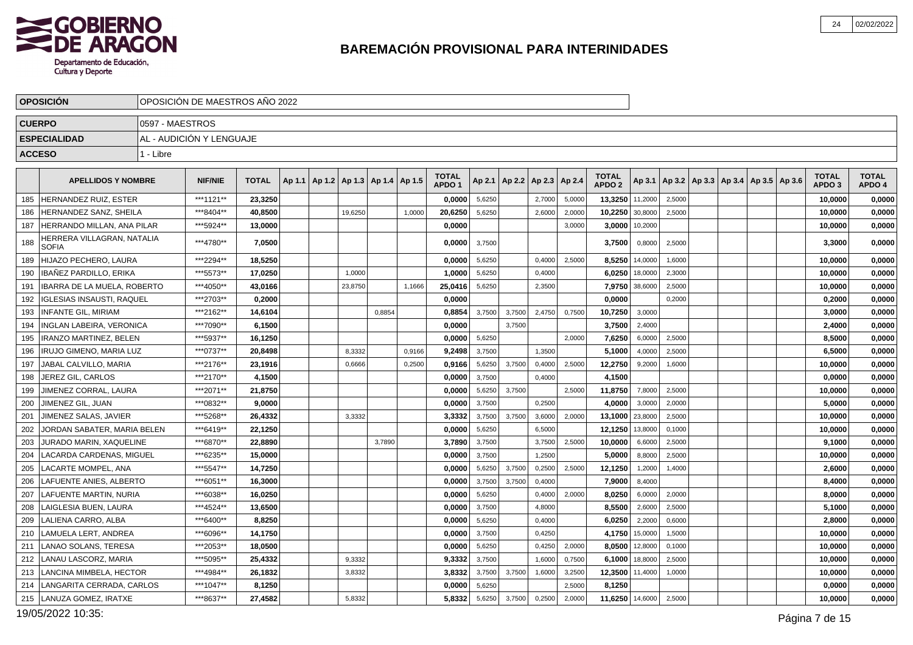

|     | <b>OPOSICIÓN</b>                           | OPOSICIÓN DE MAESTROS AÑO 2022 |                |              |        |                                   |         |        |        |                                   |        |               |        |        |                                   |                |        |                                                     |  |                                   |                        |
|-----|--------------------------------------------|--------------------------------|----------------|--------------|--------|-----------------------------------|---------|--------|--------|-----------------------------------|--------|---------------|--------|--------|-----------------------------------|----------------|--------|-----------------------------------------------------|--|-----------------------------------|------------------------|
|     | <b>CUERPO</b>                              | 0597 - MAESTROS                |                |              |        |                                   |         |        |        |                                   |        |               |        |        |                                   |                |        |                                                     |  |                                   |                        |
|     | <b>ESPECIALIDAD</b>                        | AL - AUDICIÓN Y LENGUAJE       |                |              |        |                                   |         |        |        |                                   |        |               |        |        |                                   |                |        |                                                     |  |                                   |                        |
|     | <b>ACCESO</b>                              | 1 - Libre                      |                |              |        |                                   |         |        |        |                                   |        |               |        |        |                                   |                |        |                                                     |  |                                   |                        |
|     | <b>APELLIDOS Y NOMBRE</b>                  |                                | <b>NIF/NIE</b> | <b>TOTAL</b> | Ap 1.1 | Ap 1.2   Ap 1.3   Ap 1.4   Ap 1.5 |         |        |        | <b>TOTAL</b><br>APDO <sub>1</sub> | Ap 2.1 | Ap 2.2 Ap 2.3 |        | Ap 2.4 | <b>TOTAL</b><br>APDO <sub>2</sub> |                |        | Ap 3.1   Ap 3.2   Ap 3.3   Ap 3.4   Ap 3.5   Ap 3.6 |  | <b>TOTAL</b><br>APDO <sub>3</sub> | <b>TOTAL</b><br>APDO 4 |
| 185 | HERNANDEZ RUIZ. ESTER                      |                                | ***1121**      | 23,3250      |        |                                   |         |        |        | 0.0000                            | 5,6250 |               | 2,7000 | 5,0000 | 13,3250 11,2000                   |                | 2,5000 |                                                     |  | 10,0000                           | 0,0000                 |
| 186 | <b>HERNANDEZ SANZ, SHEILA</b>              |                                | ***8404**      | 40,8500      |        |                                   | 19,6250 |        | 1,0000 | 20,6250                           | 5,6250 |               | 2,6000 | 2,0000 | 10,2250 30,8000                   |                | 2,5000 |                                                     |  | 10,0000                           | 0,0000                 |
| 187 | <b>HERRANDO MILLAN, ANA PILAR</b>          |                                | ***5924**      | 13,0000      |        |                                   |         |        |        | 0.0000                            |        |               |        | 3,0000 |                                   | 3,0000 10,2000 |        |                                                     |  | 10,0000                           | 0,0000                 |
| 188 | HERRERA VILLAGRAN, NATALIA<br><b>SOFIA</b> |                                | ***4780**      | 7,0500       |        |                                   |         |        |        | 0,0000                            | 3,7500 |               |        |        | 3,7500                            | 0,8000         | 2,5000 |                                                     |  | 3,3000                            | 0,0000                 |
| 189 | HIJAZO PECHERO, LAURA                      |                                | ***2294**      | 18,5250      |        |                                   |         |        |        | 0,0000                            | 5,6250 |               | 0,4000 | 2,5000 |                                   | 8,5250 14,0000 | 1,6000 |                                                     |  | 10,0000                           | 0,0000                 |
| 190 | <b>IBAÑEZ PARDILLO, ERIKA</b>              |                                | ***5573**      | 17,0250      |        |                                   | 1,0000  |        |        | 1.0000                            | 5,6250 |               | 0,4000 |        |                                   | 6.0250 18,0000 | 2,3000 |                                                     |  | 10,0000                           | 0,0000                 |
| 191 | <b>IBARRA DE LA MUELA, ROBERTO</b>         |                                | ***4050**      | 43,0166      |        |                                   | 23,8750 |        | 1,1666 | 25,0416                           | 5,6250 |               | 2,3500 |        |                                   | 7,9750 38,6000 | 2,5000 |                                                     |  | 10,0000                           | 0,0000                 |
| 192 | IGLESIAS INSAUSTI, RAQUEL                  |                                | ***2703**      | 0.2000       |        |                                   |         |        |        | 0,0000                            |        |               |        |        | 0.0000                            |                | 0,2000 |                                                     |  | 0,2000                            | 0,0000                 |
| 193 | <b>INFANTE GIL, MIRIAM</b>                 |                                | ***2162**      | 14,6104      |        |                                   |         | 0,8854 |        | 0,8854                            | 3,7500 | 3,7500        | 2,4750 | 0,7500 | 10,7250                           | 3,0000         |        |                                                     |  | 3,0000                            | 0,0000                 |
| 194 | INGLAN LABEIRA, VERONICA                   |                                | ***7090**      | 6,1500       |        |                                   |         |        |        | 0.0000                            |        | 3,7500        |        |        | 3,7500                            | 2,4000         |        |                                                     |  | 2,4000                            | 0,0000                 |
| 195 | <b>IRANZO MARTINEZ. BELEN</b>              |                                | ***5937**      | 16.1250      |        |                                   |         |        |        | 0.0000                            | 5,6250 |               |        | 2.0000 | 7,6250                            | 6,0000         | 2,5000 |                                                     |  | 8.5000                            | 0,0000                 |
| 196 | IRUJO GIMENO, MARIA LUZ                    |                                | ***0737**      | 20,8498      |        |                                   | 8,3332  |        | 0,9166 | 9,2498                            | 3,7500 |               | 1,3500 |        | 5,1000                            | 4,0000         | 2,5000 |                                                     |  | 6,5000                            | 0,0000                 |
| 197 | JABAL CALVILLO. MARIA                      |                                | ***2176**      | 23,1916      |        |                                   | 0,6666  |        | 0,2500 | 0,9166                            | 5,6250 | 3,7500        | 0,4000 | 2,5000 | 12,2750                           | 9,2000         | 1,6000 |                                                     |  | 10,0000                           | 0,0000                 |
| 198 | JEREZ GIL, CARLOS                          |                                | ***2170**      | 4,1500       |        |                                   |         |        |        | 0,0000                            | 3,7500 |               | 0,4000 |        | 4,1500                            |                |        |                                                     |  | 0,0000                            | 0,0000                 |
| 199 | JIMENEZ CORRAL, LAURA                      |                                | ***2071**      | 21,8750      |        |                                   |         |        |        | 0,0000                            | 5,6250 | 3,7500        |        | 2,5000 | 11,8750                           | 7,8000         | 2,5000 |                                                     |  | 10,0000                           | 0,0000                 |
| 200 | JIMENEZ GIL, JUAN                          |                                | ***0832**      | 9,0000       |        |                                   |         |        |        | 0,0000                            | 3,7500 |               | 0,2500 |        | 4,0000                            | 3,0000         | 2,0000 |                                                     |  | 5,0000                            | 0,0000                 |
| 201 | JIMENEZ SALAS, JAVIER                      |                                | ***5268**      | 26,4332      |        |                                   | 3,3332  |        |        | 3,3332                            | 3,7500 | 3,7500        | 3,6000 | 2,0000 | 13,1000 23,8000                   |                | 2,5000 |                                                     |  | 10,0000                           | 0,0000                 |
| 202 | JORDAN SABATER, MARIA BELEN                |                                | ***6419**      | 22,1250      |        |                                   |         |        |        | 0,0000                            | 5,6250 |               | 6,5000 |        | 12,1250 13,8000                   |                | 0,1000 |                                                     |  | 10,0000                           | 0,0000                 |
| 203 | JURADO MARIN, XAQUELINE                    |                                | ***6870**      | 22,8890      |        |                                   |         | 3,7890 |        | 3,7890                            | 3,7500 |               | 3,7500 | 2,5000 | 10,0000                           | 6,6000         | 2,5000 |                                                     |  | 9,1000                            | 0,0000                 |
| 204 | LACARDA CARDENAS, MIGUEL                   |                                | ***6235**      | 15.0000      |        |                                   |         |        |        | 0,0000                            | 3,7500 |               | 1,2500 |        | 5,0000                            | 8,8000         | 2,5000 |                                                     |  | 10,0000                           | 0,0000                 |
| 205 | LACARTE MOMPEL, ANA                        |                                | ***5547**      | 14,7250      |        |                                   |         |        |        | 0,0000                            | 5,6250 | 3,7500        | 0,2500 | 2,5000 | 12,1250                           | 1,2000         | 1,4000 |                                                     |  | 2,6000                            | 0,0000                 |
| 206 | LAFUENTE ANIES, ALBERTO                    |                                | ***6051**      | 16,3000      |        |                                   |         |        |        | 0,0000                            | 3,7500 | 3,7500        | 0,4000 |        | 7,9000                            | 8,4000         |        |                                                     |  | 8,4000                            | 0,0000                 |
| 207 | LAFUENTE MARTIN, NURIA                     |                                | ***6038**      | 16,0250      |        |                                   |         |        |        | 0,0000                            | 5,6250 |               | 0,4000 | 2,0000 | 8,0250                            | 6,0000         | 2,0000 |                                                     |  | 8,0000                            | 0,0000                 |
| 208 | LAIGLESIA BUEN. LAURA                      |                                | ***4524**      | 13,6500      |        |                                   |         |        |        | 0,0000                            | 3,7500 |               | 4,8000 |        | 8,5500                            | 2,6000         | 2,5000 |                                                     |  | 5,1000                            | 0,0000                 |
| 209 | <b>LALIENA CARRO, ALBA</b>                 |                                | ***6400**      | 8.8250       |        |                                   |         |        |        | 0.0000                            | 5,6250 |               | 0,4000 |        | 6,0250                            | 2,2000         | 0,6000 |                                                     |  | 2.8000                            | 0,0000                 |
| 210 | LAMUELA LERT, ANDREA                       |                                | ***6096**      | 14,1750      |        |                                   |         |        |        | 0,0000                            | 3,7500 |               | 0,4250 |        | 4,1750                            | 15,0000        | 1,5000 |                                                     |  | 10,0000                           | 0,0000                 |
| 211 | LANAO SOLANS, TERESA                       |                                | ***2053**      | 18.0500      |        |                                   |         |        |        | 0.0000                            | 5,6250 |               | 0,4250 | 2,0000 | 8,0500                            | 12,8000        | 0,1000 |                                                     |  | 10,0000                           | 0,0000                 |
| 212 | LANAU LASCORZ, MARIA                       |                                | ***5095**      | 25,4332      |        |                                   | 9,3332  |        |        | 9,3332                            | 3,7500 |               | 1,6000 | 0,7500 |                                   | 6,1000 18,8000 | 2,5000 |                                                     |  | 10,0000                           | 0,0000                 |
| 213 | LANCINA MIMBELA, HECTOR                    |                                | ***4984**      | 26,1832      |        |                                   | 3,8332  |        |        | 3,8332                            | 3,7500 | 3,7500        | 1,6000 | 3,2500 | 12,3500 11,4000                   |                | 1,0000 |                                                     |  | 10,0000                           | 0,0000                 |
| 214 | LANGARITA CERRADA, CARLOS                  |                                | ***1047**      | 8,1250       |        |                                   |         |        |        | 0,0000                            | 5,6250 |               |        | 2.5000 | 8,1250                            |                |        |                                                     |  | 0,0000                            | 0,0000                 |
|     | 215   LANUZA GOMEZ, IRATXE                 |                                | ***8637**      | 27,4582      |        |                                   | 5,8332  |        |        | 5,8332                            | 5,6250 | 3,7500        | 0,2500 | 2,0000 | 11,6250 14,6000                   |                | 2,5000 |                                                     |  | 10,0000                           | 0,0000                 |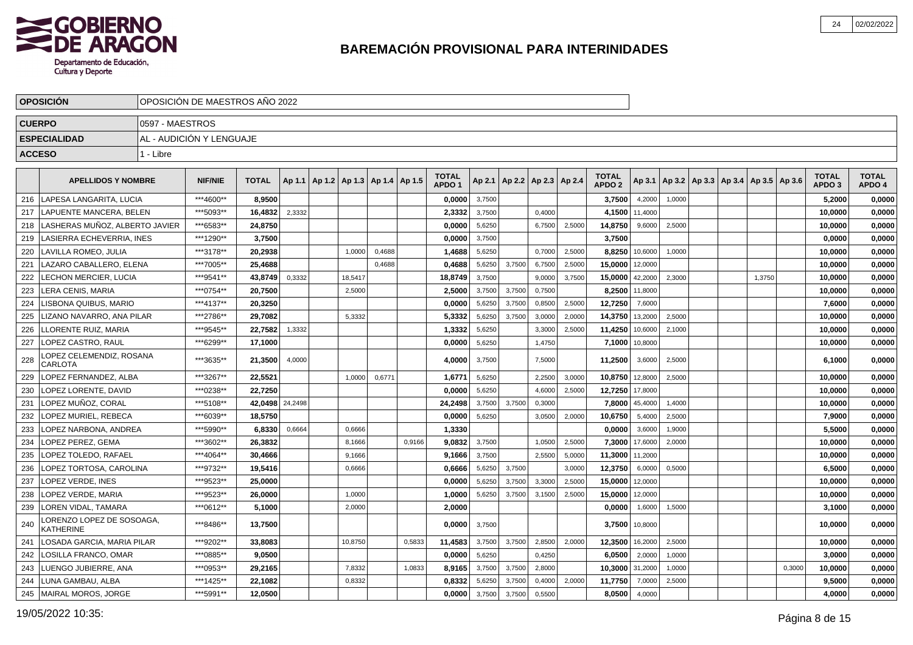

|               | <b>OPOSICION</b>                                  |                 | OPOSICIÓN DE MAESTROS AÑO 2022 |              |         |                                   |        |        |                                   |        |        |                          |        |                                   |         |                                            |  |        |        |                                   |                        |
|---------------|---------------------------------------------------|-----------------|--------------------------------|--------------|---------|-----------------------------------|--------|--------|-----------------------------------|--------|--------|--------------------------|--------|-----------------------------------|---------|--------------------------------------------|--|--------|--------|-----------------------------------|------------------------|
| <b>CUERPO</b> |                                                   | 0597 - MAESTROS |                                |              |         |                                   |        |        |                                   |        |        |                          |        |                                   |         |                                            |  |        |        |                                   |                        |
|               | <b>ESPECIALIDAD</b>                               |                 | AL - AUDICIÓN Y LENGUAJE       |              |         |                                   |        |        |                                   |        |        |                          |        |                                   |         |                                            |  |        |        |                                   |                        |
| <b>ACCESO</b> |                                                   | 1 - Libre       |                                |              |         |                                   |        |        |                                   |        |        |                          |        |                                   |         |                                            |  |        |        |                                   |                        |
|               |                                                   |                 |                                |              |         |                                   |        |        |                                   |        |        |                          |        |                                   |         |                                            |  |        |        |                                   |                        |
|               | <b>APELLIDOS Y NOMBRE</b>                         |                 | <b>NIF/NIE</b>                 | <b>TOTAL</b> | Ap 1.1  | Ap 1.2   Ap 1.3   Ap 1.4   Ap 1.5 |        |        | <b>TOTAL</b><br>APDO <sub>1</sub> | Ap 2.1 |        | Ap 2.2   Ap 2.3   Ap 2.4 |        | <b>TOTAL</b><br>APDO <sub>2</sub> | Ap 3.1  | Ap 3.2   Ap 3.3   Ap 3.4   Ap 3.5   Ap 3.6 |  |        |        | <b>TOTAL</b><br>APDO <sub>3</sub> | <b>TOTAL</b><br>APDO 4 |
| 216           | LAPESA LANGARITA, LUCIA                           |                 | ***4600**                      | 8,9500       |         |                                   |        |        | 0,0000                            | 3,7500 |        |                          |        | 3,7500                            | 4,2000  | 1,0000                                     |  |        |        | 5,2000                            | 0,0000                 |
| 217           | LAPUENTE MANCERA, BELEN                           |                 | ***5093**                      | 16,4832      | 2,3332  |                                   |        |        | 2,3332                            | 3,7500 |        | 0,4000                   |        | 4,1500                            | 11,4000 |                                            |  |        |        | 10,0000                           | 0,0000                 |
| 218           | LASHERAS MUÑOZ. ALBERTO JAVIER                    |                 | ***6583**                      | 24,8750      |         |                                   |        |        | 0,0000                            | 5,6250 |        | 6,7500                   | 2,5000 | 14,8750                           | 9,6000  | 2,5000                                     |  |        |        | 10,0000                           | 0,0000                 |
| 219           | LASIERRA ECHEVERRIA, INES                         |                 | ***1290**                      | 3,7500       |         |                                   |        |        | 0.0000                            | 3,7500 |        |                          |        | 3.7500                            |         |                                            |  |        |        | 0.0000                            | 0,0000                 |
| 220           | LAVILLA ROMEO, JULIA                              |                 | ***3178**                      | 20.2938      |         | 1,0000                            | 0,4688 |        | 1,4688                            | 5,6250 |        | 0,7000                   | 2.5000 | 8,8250                            | 10,6000 | 1,0000                                     |  |        |        | 10,0000                           | 0,0000                 |
| 221           | LAZARO CABALLERO. ELENA                           |                 | ***7005**                      | 25.4688      |         |                                   | 0.4688 |        | 0,4688                            | 5,6250 | 3,7500 | 6,7500                   | 2,5000 | 15,0000                           | 12,0000 |                                            |  |        |        | 10,0000                           | 0,0000                 |
| 222           | LECHON MERCIER, LUCIA                             |                 | ***9541**                      | 43,8749      | 0,3332  | 18,5417                           |        |        | 18,8749                           | 3,7500 |        | 9,0000                   | 3,7500 | 15,0000                           | 42,2000 | 2,3000                                     |  | 1,3750 |        | 10,0000                           | 0,0000                 |
| 223           | LERA CENIS, MARIA                                 |                 | ***0754**                      | 20,7500      |         | 2,5000                            |        |        | 2,5000                            | 3,7500 | 3,7500 | 0,7500                   |        | 8,2500                            | 11,8000 |                                            |  |        |        | 10,0000                           | 0,0000                 |
| 224           | LISBONA QUIBUS, MARIO                             |                 | ***4137**                      | 20,3250      |         |                                   |        |        | 0,0000                            | 5,6250 | 3,7500 | 0,8500                   | 2,5000 | 12,7250                           | 7,6000  |                                            |  |        |        | 7,6000                            | 0,0000                 |
| 225           | LIZANO NAVARRO. ANA PILAR                         |                 | ***2786**                      | 29,7082      |         | 5,3332                            |        |        | 5,3332                            | 5,6250 | 3,7500 | 3,0000                   | 2,0000 | 14,3750                           | 13,2000 | 2,5000                                     |  |        |        | 10,0000                           | 0,0000                 |
| 226           | LLORENTE RUIZ, MARIA                              |                 | ***9545**                      | 22.7582      | 1,3332  |                                   |        |        | 1,3332                            | 5,6250 |        | 3,3000                   | 2,5000 | 11,4250                           | 10,6000 | 2,1000                                     |  |        |        | 10,0000                           | 0,0000                 |
| 227           | LOPEZ CASTRO, RAUL                                |                 | ***6299**                      | 17,1000      |         |                                   |        |        | 0,0000                            | 5,6250 |        | 1,4750                   |        | 7,1000                            | 10,8000 |                                            |  |        |        | 10,0000                           | 0,0000                 |
| 228           | <b>LOPEZ CELEMENDIZ. ROSANA</b><br><b>CARLOTA</b> |                 | ***3635**                      | 21,3500      | 4,0000  |                                   |        |        | 4,0000                            | 3,7500 |        | 7,5000                   |        | 11,2500                           | 3,6000  | 2,5000                                     |  |        |        | 6,1000                            | 0,0000                 |
| 229           | LOPEZ FERNANDEZ. ALBA                             |                 | ***3267**                      | 22.5521      |         | 1,0000                            | 0,6771 |        | 1,6771                            | 5,6250 |        | 2,2500                   | 3,0000 | 10,8750                           | 12,8000 | 2,5000                                     |  |        |        | 10.0000                           | 0,0000                 |
| 230           | LOPEZ LORENTE, DAVID                              |                 | ***0238**                      | 22.7250      |         |                                   |        |        | 0.0000                            | 5,6250 |        | 4,6000                   | 2.5000 | 12,7250                           | 17,8000 |                                            |  |        |        | 10.0000                           | 0,0000                 |
| 231           | LOPEZ MUÑOZ. CORAL                                |                 | ***5108**                      | 42.0498      | 24,2498 |                                   |        |        | 24.2498                           | 3,7500 | 3.7500 | 0,3000                   |        | 7,8000                            | 45,4000 | 1.4000                                     |  |        |        | 10,0000                           | 0,0000                 |
| 232           | LOPEZ MURIEL, REBECA                              |                 | ***6039**                      | 18,5750      |         |                                   |        |        | 0,0000                            | 5,6250 |        | 3,0500                   | 2,0000 | 10,6750                           | 5,4000  | 2,5000                                     |  |        |        | 7,9000                            | 0,0000                 |
| 233           | LOPEZ NARBONA, ANDREA                             |                 | ***5990**                      | 6,8330       | 0,6664  | 0,6666                            |        |        | 1,3330                            |        |        |                          |        | 0,0000                            | 3,6000  | 1,9000                                     |  |        |        | 5,5000                            | 0,0000                 |
| 234           | LOPEZ PEREZ, GEMA                                 |                 | ***3602**                      | 26,3832      |         | 8,1666                            |        | 0,9166 | 9,0832                            | 3,7500 |        | 1,0500                   | 2,5000 | 7,3000                            | 17,6000 | 2,0000                                     |  |        |        | 10,0000                           | 0,0000                 |
| 235           | LOPEZ TOLEDO. RAFAEL                              |                 | ***4064**                      | 30.4666      |         | 9,1666                            |        |        | 9,1666                            | 3,7500 |        | 2,5500                   | 5,0000 | 11,3000                           | 11,2000 |                                            |  |        |        | 10,0000                           | 0,0000                 |
| 236           | LOPEZ TORTOSA, CAROLINA                           |                 | ***9732**                      | 19,5416      |         | 0,6666                            |        |        | 0,6666                            | 5,6250 | 3,7500 |                          | 3,0000 | 12,3750                           | 6,0000  | 0,5000                                     |  |        |        | 6,5000                            | 0,0000                 |
| 237           | LOPEZ VERDE. INES                                 |                 | ***9523**                      | 25,0000      |         |                                   |        |        | 0.0000                            | 5,6250 | 3,7500 | 3,3000                   | 2,5000 | 15,0000                           | 12,0000 |                                            |  |        |        | 10,0000                           | 0,0000                 |
| 238           | <b>LOPEZ VERDE, MARIA</b>                         |                 | ***9523**                      | 26.0000      |         | 1,0000                            |        |        | 1,0000                            | 5,6250 | 3,7500 | 3,1500                   | 2,5000 | 15,0000                           | 12,0000 |                                            |  |        |        | 10,0000                           | 0,0000                 |
| 239           | LOREN VIDAL, TAMARA                               |                 | ***0612**                      | 5,1000       |         | 2,0000                            |        |        | 2,0000                            |        |        |                          |        | 0,0000                            | 1,6000  | 1,5000                                     |  |        |        | 3,1000                            | 0,0000                 |
| 240           | LORENZO LOPEZ DE SOSOAGA<br><b>KATHERINE</b>      |                 | ***8486**                      | 13,7500      |         |                                   |        |        | 0.0000                            | 3,7500 |        |                          |        | 3,7500                            | 10,8000 |                                            |  |        |        | 10,0000                           | 0,0000                 |
| 241           | LOSADA GARCIA, MARIA PILAR                        |                 | ***9202**                      | 33,8083      |         | 10,8750                           |        | 0,5833 | 11,4583                           | 3,7500 | 3,7500 | 2,8500                   | 2,0000 | 12,3500                           | 16,2000 | 2,5000                                     |  |        |        | 10,0000                           | 0,0000                 |
| 242           | LOSILLA FRANCO, OMAR                              |                 | ***0885**                      | 9,0500       |         |                                   |        |        | 0,0000                            | 5,6250 |        | 0,4250                   |        | 6,0500                            | 2,0000  | 1,0000                                     |  |        |        | 3,0000                            | 0,0000                 |
| 243           | LUENGO JUBIERRE, ANA                              |                 | ***0953**                      | 29,2165      |         | 7,8332                            |        | 1,0833 | 8,9165                            | 3,7500 | 3,7500 | 2,8000                   |        | 10,3000                           | 31,2000 | 1,0000                                     |  |        | 0,3000 | 10,0000                           | 0,0000                 |
| 244           | LUNA GAMBAU, ALBA                                 |                 | ***1425**                      | 22,1082      |         | 0,8332                            |        |        | 0,8332                            | 5,6250 | 3,7500 | 0,4000                   | 2,0000 | 11,7750                           | 7,0000  | 2,5000                                     |  |        |        | 9,5000                            | 0,0000                 |
| 245           | MAIRAL MOROS, JORGE                               |                 | ***5991**                      | 12,0500      |         |                                   |        |        | 0,0000                            | 3,7500 | 3,7500 | 0,5500                   |        | 8,0500                            | 4,0000  |                                            |  |        |        | 4.0000                            | 0,0000                 |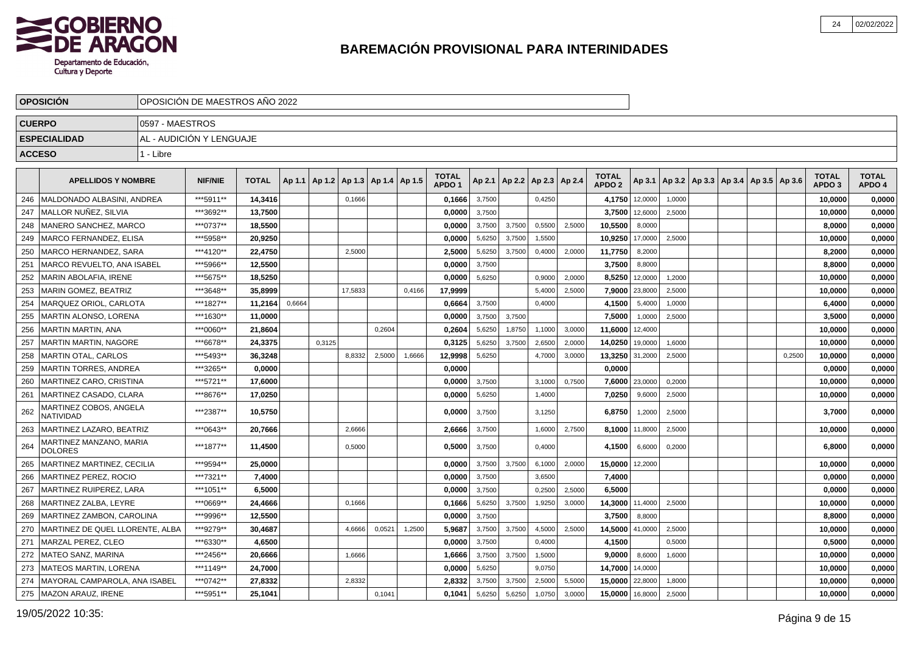

|               | <b>OPOSICION</b>                           |                 | OPOSICION DE MAESTROS ANO 2022 |              |        |        |                                   |        |        |                                   |        |        |                                   |        |                                   |         |                                                     |  |        |                                   |                        |
|---------------|--------------------------------------------|-----------------|--------------------------------|--------------|--------|--------|-----------------------------------|--------|--------|-----------------------------------|--------|--------|-----------------------------------|--------|-----------------------------------|---------|-----------------------------------------------------|--|--------|-----------------------------------|------------------------|
| <b>CUERPO</b> |                                            | 0597 - MAESTROS |                                |              |        |        |                                   |        |        |                                   |        |        |                                   |        |                                   |         |                                                     |  |        |                                   |                        |
|               | <b>ESPECIALIDAD</b>                        |                 | AL - AUDICIÓN Y LENGUAJE       |              |        |        |                                   |        |        |                                   |        |        |                                   |        |                                   |         |                                                     |  |        |                                   |                        |
| <b>ACCESO</b> |                                            | 1 - Libre       |                                |              |        |        |                                   |        |        |                                   |        |        |                                   |        |                                   |         |                                                     |  |        |                                   |                        |
|               |                                            |                 |                                |              |        |        |                                   |        |        |                                   |        |        |                                   |        |                                   |         |                                                     |  |        |                                   |                        |
|               | <b>APELLIDOS Y NOMBRE</b>                  |                 | <b>NIF/NIE</b>                 | <b>TOTAL</b> | Ap 1.1 |        | Ap 1.2   Ap 1.3   Ap 1.4   Ap 1.5 |        |        | <b>TOTAL</b><br>APDO <sub>1</sub> |        |        | Ap 2.1   Ap 2.2   Ap 2.3   Ap 2.4 |        | <b>TOTAL</b><br>APDO <sub>2</sub> |         | Ap 3.1   Ap 3.2   Ap 3.3   Ap 3.4   Ap 3.5   Ap 3.6 |  |        | <b>TOTAL</b><br>APDO <sub>3</sub> | <b>TOTAL</b><br>APDO 4 |
| 246           | MALDONADO ALBASINI. ANDREA                 |                 | ***5911**                      | 14.3416      |        |        | 0,1666                            |        |        | 0.1666                            | 3,7500 |        | 0,4250                            |        | 4.1750                            | 12,0000 | 1,0000                                              |  |        | 10.0000                           | 0,0000                 |
| 247           | MALLOR NUÑEZ, SILVIA                       |                 | ***3692**                      | 13,7500      |        |        |                                   |        |        | 0,0000                            | 3,7500 |        |                                   |        | 3,7500                            | 12,6000 | 2,5000                                              |  |        | 10,0000                           | 0,0000                 |
| 248           | MANERO SANCHEZ, MARCO                      |                 | ***0737**                      | 18,5500      |        |        |                                   |        |        | 0,0000                            | 3,7500 | 3,7500 | 0,5500                            | 2,5000 | 10,5500                           | 8,0000  |                                                     |  |        | 8,0000                            | 0,0000                 |
| 249           | MARCO FERNANDEZ, ELISA                     |                 | ***5958**                      | 20,9250      |        |        |                                   |        |        | 0,0000                            | 5,6250 | 3,7500 | 1,5500                            |        | 10,9250                           | 17,0000 | 2,5000                                              |  |        | 10,0000                           | 0,0000                 |
| 250           | MARCO HERNANDEZ, SARA                      |                 | ***4120**                      | 22,4750      |        |        | 2,5000                            |        |        | 2,5000                            | 5,6250 | 3,7500 | 0,4000                            | 2,0000 | 11,7750                           | 8,2000  |                                                     |  |        | 8,2000                            | 0,0000                 |
| 251           | MARCO REVUELTO, ANA ISABEL                 |                 | ***5966**                      | 12,5500      |        |        |                                   |        |        | 0,0000                            | 3,7500 |        |                                   |        | 3,7500                            | 8,8000  |                                                     |  |        | 8,8000                            | 0,0000                 |
| 252           | <b>MARIN ABOLAFIA. IRENE</b>               |                 | ***5675**                      | 18.5250      |        |        |                                   |        |        | 0,0000                            | 5,6250 |        | 0,9000                            | 2.0000 | 8,5250                            | 12,0000 | 1,2000                                              |  |        | 10,0000                           | 0,0000                 |
| 253           | <b>MARIN GOMEZ, BEATRIZ</b>                |                 | ***3648**                      | 35.8999      |        |        | 17.5833                           |        | 0.4166 | 17,9999                           |        |        | 5,4000                            | 2,5000 | 7,9000                            | 23,8000 | 2,5000                                              |  |        | 10,0000                           | 0,0000                 |
| 254           | MARQUEZ ORIOL. CARLOTA                     |                 | ***1827**                      | 11.2164      | 0,6664 |        |                                   |        |        | 0.6664                            | 3,7500 |        | 0,4000                            |        | 4,1500                            | 5,4000  | 1,0000                                              |  |        | 6,4000                            | 0,0000                 |
| 255           | MARTIN ALONSO, LORENA                      |                 | ***1630**                      | 11.0000      |        |        |                                   |        |        | 0.0000                            | 3,7500 | 3.7500 |                                   |        | 7,5000                            | 1,0000  | 2,5000                                              |  |        | 3.5000                            | 0,0000                 |
| 256           | <b>MARTIN MARTIN, ANA</b>                  |                 | ***0060**                      | 21,8604      |        |        |                                   | 0,2604 |        | 0,2604                            | 5,6250 | 1,8750 | 1,1000                            | 3,0000 | 11,6000                           | 12,4000 |                                                     |  |        | 10,0000                           | 0,0000                 |
| 257           | <b>MARTIN MARTIN, NAGORE</b>               |                 | ***6678**                      | 24,3375      |        | 0,3125 |                                   |        |        | 0,3125                            | 5,6250 | 3,7500 | 2,6500                            | 2,0000 | 14,0250                           | 19,0000 | 1,6000                                              |  |        | 10,0000                           | 0,0000                 |
| 258           | <b>MARTIN OTAL, CARLOS</b>                 |                 | ***5493**                      | 36,3248      |        |        | 8,8332                            | 2,5000 | 1,6666 | 12,9998                           | 5,6250 |        | 4,7000                            | 3,0000 | 13,3250                           | 31,2000 | 2,5000                                              |  | 0,2500 | 10,0000                           | 0,0000                 |
| 259           | <b>MARTIN TORRES, ANDREA</b>               |                 | ***3265**                      | 0,0000       |        |        |                                   |        |        | 0,0000                            |        |        |                                   |        | 0,0000                            |         |                                                     |  |        | 0,0000                            | 0,0000                 |
| 260           | MARTINEZ CARO, CRISTINA                    |                 | ***5721**                      | 17,6000      |        |        |                                   |        |        | 0.0000                            | 3,7500 |        | 3,1000                            | 0,7500 | 7,6000                            | 23,0000 | 0,2000                                              |  |        | 10,0000                           | 0,0000                 |
| 261           | MARTINEZ CASADO, CLARA                     |                 | ***8676**                      | 17,0250      |        |        |                                   |        |        | 0.0000                            | 5,6250 |        | 1,4000                            |        | 7,0250                            | 9,6000  | 2,5000                                              |  |        | 10.0000                           | 0,0000                 |
| 262           | MARTINEZ COBOS, ANGELA<br><b>NATIVIDAD</b> |                 | ***2387**                      | 10,5750      |        |        |                                   |        |        | 0,0000                            | 3,7500 |        | 3,1250                            |        | 6,8750                            | 1,2000  | 2,5000                                              |  |        | 3,7000                            | 0,0000                 |
| 263           | MARTINEZ LAZARO, BEATRIZ                   |                 | ***0643**                      | 20,7666      |        |        | 2,6666                            |        |        | 2,6666                            | 3,7500 |        | 1,6000                            | 2,7500 | 8,1000                            | 11,8000 | 2,5000                                              |  |        | 10,0000                           | 0,0000                 |
| 264           | MARTINEZ MANZANO, MARIA<br><b>DOLORES</b>  |                 | ***1877**                      | 11,4500      |        |        | 0,5000                            |        |        | 0,5000                            | 3,7500 |        | 0,4000                            |        | 4,1500                            | 6,6000  | 0,2000                                              |  |        | 6,8000                            | 0,0000                 |
| 265           | MARTINEZ MARTINEZ, CECILIA                 |                 | ***9594**                      | 25,0000      |        |        |                                   |        |        | 0,0000                            | 3,7500 | 3,7500 | 6,1000                            | 2,0000 | 15,0000                           | 12,2000 |                                                     |  |        | 10,0000                           | 0,0000                 |
| 266           | MARTINEZ PEREZ. ROCIO                      |                 | ***7321**                      | 7,4000       |        |        |                                   |        |        | 0.0000                            | 3,7500 |        | 3,6500                            |        | 7,4000                            |         |                                                     |  |        | 0,0000                            | 0,0000                 |
| 267           | MARTINEZ RUIPEREZ, LARA                    |                 | ***1051**                      | 6,5000       |        |        |                                   |        |        | 0,0000                            | 3,7500 |        | 0,2500                            | 2,5000 | 6.5000                            |         |                                                     |  |        | 0,0000                            | 0,0000                 |
| 268           | MARTINEZ ZALBA, LEYRE                      |                 | ***0669**                      | 24,4666      |        |        | 0.1666                            |        |        | 0,1666                            | 5,6250 | 3,7500 | 1,9250                            | 3,0000 | 14,3000                           | 11,4000 | 2,5000                                              |  |        | 10,0000                           | 0,0000                 |
| 269           | MARTINEZ ZAMBON, CAROLINA                  |                 | ***9996**                      | 12.5500      |        |        |                                   |        |        | 0.0000                            | 3,7500 |        |                                   |        | 3.7500                            | 8,8000  |                                                     |  |        | 8.8000                            | 0,0000                 |
| 270           | MARTINEZ DE QUEL LLORENTE, ALBA            |                 | ***9279**                      | 30,4687      |        |        | 4,6666                            | 0,0521 | 1,2500 | 5,9687                            | 3,7500 | 3,7500 | 4,5000                            | 2,5000 | 14,5000                           | 41,0000 | 2,5000                                              |  |        | 10,0000                           | 0,0000                 |
| 271           | MARZAL PEREZ, CLEO                         |                 | ***6330**                      | 4,6500       |        |        |                                   |        |        | 0,0000                            | 3,7500 |        | 0,4000                            |        | 4,1500                            |         | 0,5000                                              |  |        | 0,5000                            | 0,0000                 |
| 272           | <b>MATEO SANZ, MARINA</b>                  |                 | ***2456**                      | 20,6666      |        |        | 1,6666                            |        |        | 1,6666                            | 3,7500 | 3,7500 | 1,5000                            |        | 9,0000                            | 8,6000  | 1,6000                                              |  |        | 10,0000                           | 0,0000                 |
| 273           | <b>MATEOS MARTIN, LORENA</b>               |                 | ***1149**                      | 24,7000      |        |        |                                   |        |        | 0,0000                            | 5,6250 |        | 9,0750                            |        | 14,7000                           | 14,0000 |                                                     |  |        | 10,0000                           | 0,0000                 |
| 274           | MAYORAL CAMPAROLA, ANA ISABEI              |                 | ***0742**                      | 27,8332      |        |        | 2,8332                            |        |        | 2,8332                            | 3,7500 | 3,7500 | 2,5000                            | 5,5000 | 15,0000                           | 22,8000 | 1,8000                                              |  |        | 10,0000                           | 0,0000                 |
| 275           | MAZON ARAUZ, IRENE                         |                 | ***5951**                      | 25,1041      |        |        |                                   | 0,1041 |        | 0,1041                            | 5,6250 | 5,6250 | 1,0750                            | 3,0000 | 15,0000                           | 16,8000 | 2,5000                                              |  |        | 10,0000                           | 0,0000                 |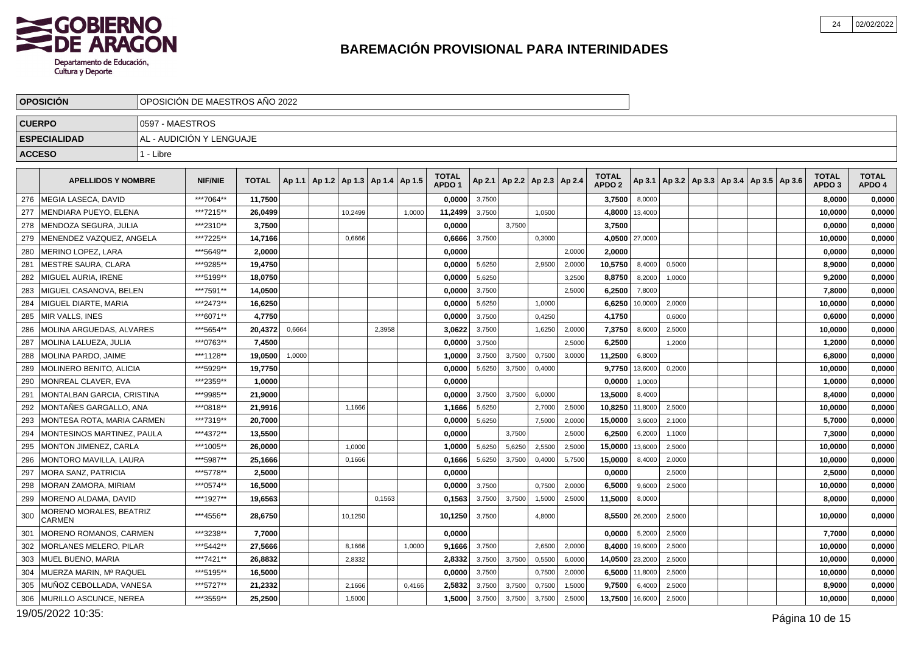

|               | <b>OPOSICION</b>                                |                 | OPOSICIÓN DE MAESTROS AÑO 2022 |              |        |                                            |        |        |                                   |        |        |                                   |        |                                   |         |                                                     |  |  |                                   |                        |
|---------------|-------------------------------------------------|-----------------|--------------------------------|--------------|--------|--------------------------------------------|--------|--------|-----------------------------------|--------|--------|-----------------------------------|--------|-----------------------------------|---------|-----------------------------------------------------|--|--|-----------------------------------|------------------------|
| <b>CUERPO</b> |                                                 | 0597 - MAESTROS |                                |              |        |                                            |        |        |                                   |        |        |                                   |        |                                   |         |                                                     |  |  |                                   |                        |
|               | <b>ESPECIALIDAD</b>                             |                 | AL - AUDICIÓN Y LENGUAJE       |              |        |                                            |        |        |                                   |        |        |                                   |        |                                   |         |                                                     |  |  |                                   |                        |
| <b>ACCESO</b> |                                                 | 1 - Libre       |                                |              |        |                                            |        |        |                                   |        |        |                                   |        |                                   |         |                                                     |  |  |                                   |                        |
|               | <b>APELLIDOS Y NOMBRE</b>                       |                 | <b>NIF/NIE</b>                 | <b>TOTAL</b> |        | Ap 1.1   Ap 1.2   Ap 1.3   Ap 1.4   Ap 1.5 |        |        | <b>TOTAL</b><br>APDO <sub>1</sub> |        |        | Ap 2.1   Ap 2.2   Ap 2.3   Ap 2.4 |        | <b>TOTAL</b><br>APDO <sub>2</sub> |         | Ap 3.1   Ap 3.2   Ap 3.3   Ap 3.4   Ap 3.5   Ap 3.6 |  |  | <b>TOTAL</b><br>APDO <sub>3</sub> | <b>TOTAL</b><br>APDO 4 |
| 276           | I MEGIA LASECA. DAVID                           |                 | ***7064**                      | 11,7500      |        |                                            |        |        | 0.0000                            | 3,7500 |        |                                   |        | 3,7500                            | 8,0000  |                                                     |  |  | 8,0000                            | 0,0000                 |
| 277           | MENDIARA PUEYO, ELENA                           |                 | ***7215**                      | 26,0499      |        | 10,2499                                    |        | 1,0000 | 11,2499                           | 3,7500 |        | 1,0500                            |        | 4,8000                            | 13,4000 |                                                     |  |  | 10,0000                           | 0,0000                 |
| 278           | MENDOZA SEGURA, JULIA                           |                 | ***2310**                      | 3,7500       |        |                                            |        |        | 0,0000                            |        | 3,7500 |                                   |        | 3,7500                            |         |                                                     |  |  | 0,0000                            | 0,0000                 |
| 279           | MENENDEZ VAZQUEZ, ANGELA                        |                 | ***7225**                      | 14,7166      |        | 0,6666                                     |        |        | 0,6666                            | 3,7500 |        | 0,3000                            |        | 4,0500                            | 27,0000 |                                                     |  |  | 10,0000                           | 0,0000                 |
| 280           | MERINO LOPEZ. LARA                              |                 | ***5649**                      | 2,0000       |        |                                            |        |        | 0,0000                            |        |        |                                   | 2,0000 | 2,0000                            |         |                                                     |  |  | 0,0000                            | 0,0000                 |
| 281           | <b>MESTRE SAURA, CLARA</b>                      |                 | ***9285**                      | 19,4750      |        |                                            |        |        | 0,0000                            | 5,6250 |        | 2,9500                            | 2,0000 | 10,5750                           | 8,4000  | 0,5000                                              |  |  | 8,9000                            | 0,0000                 |
| 282           | MIGUEL AURIA. IRENE                             |                 | ***5199**                      | 18,0750      |        |                                            |        |        | 0,0000                            | 5,6250 |        |                                   | 3,2500 | 8,8750                            | 8,2000  | 1,0000                                              |  |  | 9,2000                            | 0,0000                 |
| 283           | MIGUEL CASANOVA, BELEN                          |                 | ***7591**                      | 14,0500      |        |                                            |        |        | 0,0000                            | 3,7500 |        |                                   | 2.5000 | 6,2500                            | 7,8000  |                                                     |  |  | 7,8000                            | 0,0000                 |
| 284           | MIGUEL DIARTE, MARIA                            |                 | ***2473**                      | 16,6250      |        |                                            |        |        | 0,0000                            | 5,6250 |        | 1,0000                            |        | 6,6250                            | 10,0000 | 2,0000                                              |  |  | 10,0000                           | 0,0000                 |
| 285           | <b>MIR VALLS, INES</b>                          |                 | ***6071**                      | 4.7750       |        |                                            |        |        | 0.0000                            | 3,7500 |        | 0,4250                            |        | 4,1750                            |         | 0.6000                                              |  |  | 0.6000                            | 0,0000                 |
| 286           | MOLINA ARGUEDAS, ALVARES                        |                 | ***5654**                      | 20,4372      | 0,6664 |                                            | 2,3958 |        | 3,0622                            | 3,7500 |        | 1,6250                            | 2,0000 | 7,3750                            | 8,6000  | 2,5000                                              |  |  | 10,0000                           | 0,0000                 |
| 287           | MOLINA LALUEZA, JULIA                           |                 | ***0763**                      | 7.4500       |        |                                            |        |        | 0,0000                            | 3,7500 |        |                                   | 2,5000 | 6,2500                            |         | 1,2000                                              |  |  | 1,2000                            | 0,0000                 |
| 288           | MOLINA PARDO, JAIME                             |                 | ***1128**                      | 19,0500      | 1,0000 |                                            |        |        | 1,0000                            | 3,7500 | 3,7500 | 0,7500                            | 3,0000 | 11,2500                           | 6,8000  |                                                     |  |  | 6,8000                            | 0,0000                 |
| 289           | MOLINERO BENITO, ALICIA                         |                 | ***5929**                      | 19.7750      |        |                                            |        |        | 0,0000                            | 5,6250 | 3,7500 | 0,4000                            |        | 9,7750                            | 13,6000 | 0,2000                                              |  |  | 10,0000                           | 0,0000                 |
| 290           | MONREAL CLAVER, EVA                             |                 | ***2359**                      | 1,0000       |        |                                            |        |        | 0,0000                            |        |        |                                   |        | 0,0000                            | 1,0000  |                                                     |  |  | 1,0000                            | 0,0000                 |
| 291           | MONTALBAN GARCIA, CRISTINA                      |                 | ***9985**                      | 21,9000      |        |                                            |        |        | 0,0000                            | 3,7500 | 3,7500 | 6,0000                            |        | 13,5000                           | 8,4000  |                                                     |  |  | 8,4000                            | 0,0000                 |
| 292           | MONTAÑES GARGALLO, ANA                          |                 | ***0818**                      | 21,9916      |        | 1,1666                                     |        |        | 1,1666                            | 5,6250 |        | 2,7000                            | 2,5000 | 10,8250                           | 11,8000 | 2,5000                                              |  |  | 10,0000                           | 0,0000                 |
| 293           | MONTESA ROTA, MARIA CARMEN                      |                 | ***7319**                      | 20,7000      |        |                                            |        |        | 0,0000                            | 5,6250 |        | 7,5000                            | 2,0000 | 15,0000                           | 3,6000  | 2,1000                                              |  |  | 5,7000                            | 0,0000                 |
| 294           | MONTESINOS MARTINEZ, PAULA                      |                 | ***4372**                      | 13,5500      |        |                                            |        |        | 0,0000                            |        | 3,7500 |                                   | 2.5000 | 6,2500                            | 6,2000  | 1,1000                                              |  |  | 7,3000                            | 0,0000                 |
| 295           | <b>MONTON JIMENEZ, CARLA</b>                    |                 | ***1005**                      | 26,0000      |        | 1,0000                                     |        |        | 1,0000                            | 5,6250 | 5,6250 | 2,5500                            | 2,5000 | 15,0000                           | 13,6000 | 2,5000                                              |  |  | 10,0000                           | 0,0000                 |
| 296           | MONTORO MAVILLA, LAURA                          |                 | ***5987**                      | 25,1666      |        | 0,1666                                     |        |        | 0,1666                            | 5,6250 | 3,7500 | 0,4000                            | 5,7500 | 15,0000                           | 8,4000  | 2,0000                                              |  |  | 10,0000                           | 0,0000                 |
| 297           | <b>MORA SANZ, PATRICIA</b>                      |                 | ***5778**                      | 2,5000       |        |                                            |        |        | 0,0000                            |        |        |                                   |        | 0,0000                            |         | 2,5000                                              |  |  | 2,5000                            | 0,0000                 |
| 298           | MORAN ZAMORA, MIRIAM                            |                 | ***0574**                      | 16.5000      |        |                                            |        |        | 0.0000                            | 3,7500 |        | 0,7500                            | 2,0000 | 6,5000                            | 9,6000  | 2,5000                                              |  |  | 10,0000                           | 0,0000                 |
| 299           | MORENO ALDAMA, DAVID                            |                 | ***1927**                      | 19,6563      |        |                                            | 0,1563 |        | 0,1563                            | 3,7500 | 3,7500 | 1,5000                            | 2,5000 | 11,5000                           | 8,0000  |                                                     |  |  | 8,0000                            | 0,0000                 |
| 300           | <b>MORENO MORALES, BEATRIZ</b><br><b>CARMEN</b> |                 | ***4556**                      | 28,6750      |        | 10,1250                                    |        |        | 10,1250                           | 3,7500 |        | 4,8000                            |        | 8,5500                            | 26,2000 | 2,5000                                              |  |  | 10,0000                           | 0,0000                 |
| 301           | MORENO ROMANOS, CARMEN                          |                 | ***3238**                      | 7,7000       |        |                                            |        |        | 0,0000                            |        |        |                                   |        | 0,0000                            | 5,2000  | 2,5000                                              |  |  | 7,7000                            | 0,0000                 |
| 302           | <b>MORLANES MELERO, PILAR</b>                   |                 | ***5442**                      | 27,5666      |        | 8,1666                                     |        | 1,0000 | 9,1666                            | 3,7500 |        | 2,6500                            | 2,0000 | 8,4000                            | 19,6000 | 2,5000                                              |  |  | 10,0000                           | 0,0000                 |
| 303           | MUEL BUENO, MARIA                               |                 | ***7421**                      | 26,8832      |        | 2,8332                                     |        |        | 2,8332                            | 3,7500 | 3,7500 | 0,5500                            | 6,0000 | 14,0500                           | 23,2000 | 2,5000                                              |  |  | 10,0000                           | 0,0000                 |
| 304           | MUERZA MARIN, Mª RAQUEL                         |                 | ***5195**                      | 16,5000      |        |                                            |        |        | 0,0000                            | 3,7500 |        | 0,7500                            | 2,0000 | 6,5000                            | 11,8000 | 2,5000                                              |  |  | 10,0000                           | 0,0000                 |
| 305           | MUÑOZ CEBOLLADA, VANESA                         |                 | ***5727**                      | 21,2332      |        | 2,1666                                     |        | 0,4166 | 2,5832                            | 3,7500 | 3,7500 | 0,7500                            | 1,5000 | 9,7500                            | 6,4000  | 2,5000                                              |  |  | 8,9000                            | 0,0000                 |
| 306           | MURILLO ASCUNCE, NEREA                          |                 | ***3559**                      | 25,2500      |        | 1,5000                                     |        |        | 1,5000                            | 3,7500 | 3,7500 | 3,7500                            | 2,5000 | 13,7500                           | 16,6000 | 2,5000                                              |  |  | 10,0000                           | 0,0000                 |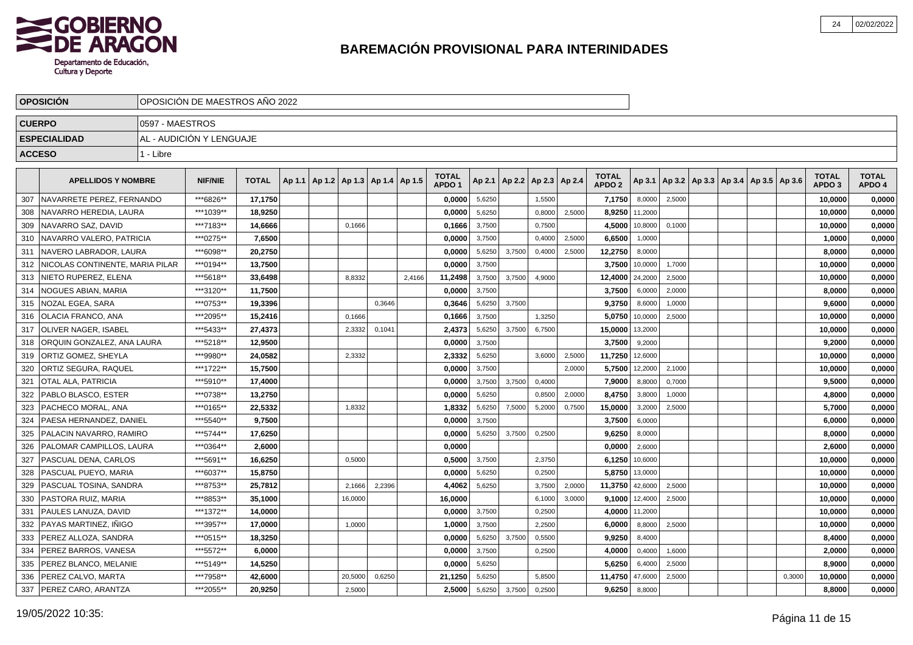

|               | <b>OPOSICIÓN</b>                |                 | OPOSICIÓN DE MAESTROS AÑO 2022 |              |                                            |         |        |        |                                   |        |        |                                   |        |                                   |         |        |  |                                            |        |                                   |                        |
|---------------|---------------------------------|-----------------|--------------------------------|--------------|--------------------------------------------|---------|--------|--------|-----------------------------------|--------|--------|-----------------------------------|--------|-----------------------------------|---------|--------|--|--------------------------------------------|--------|-----------------------------------|------------------------|
|               | <b>CUERPO</b>                   | 0597 - MAESTROS |                                |              |                                            |         |        |        |                                   |        |        |                                   |        |                                   |         |        |  |                                            |        |                                   |                        |
|               | <b>ESPECIALIDAD</b>             |                 | AL - AUDICIÓN Y LENGUAJE       |              |                                            |         |        |        |                                   |        |        |                                   |        |                                   |         |        |  |                                            |        |                                   |                        |
| <b>ACCESO</b> |                                 | 1 - Libre       |                                |              |                                            |         |        |        |                                   |        |        |                                   |        |                                   |         |        |  |                                            |        |                                   |                        |
|               |                                 |                 |                                |              |                                            |         |        |        |                                   |        |        |                                   |        |                                   |         |        |  |                                            |        |                                   |                        |
|               | <b>APELLIDOS Y NOMBRE</b>       |                 | <b>NIF/NIE</b>                 | <b>TOTAL</b> | Ap 1.1   Ap 1.2   Ap 1.3   Ap 1.4   Ap 1.5 |         |        |        | <b>TOTAL</b><br>APDO <sub>1</sub> |        |        | Ap 2.1   Ap 2.2   Ap 2.3   Ap 2.4 |        | <b>TOTAL</b><br>APDO <sub>2</sub> | Ap 3.1  |        |  | Ap 3.2   Ap 3.3   Ap 3.4   Ap 3.5   Ap 3.6 |        | <b>TOTAL</b><br>APDO <sub>3</sub> | <b>TOTAL</b><br>APDO 4 |
| 307           | NAVARRETE PEREZ, FERNANDO       |                 | ***6826**                      | 17,1750      |                                            |         |        |        | 0,0000                            | 5,6250 |        | 1,5500                            |        | 7,1750                            | 8,0000  | 2,5000 |  |                                            |        | 10,0000                           | 0,0000                 |
| 308           | NAVARRO HEREDIA, LAURA          |                 | ***1039**                      | 18,9250      |                                            |         |        |        | 0,0000                            | 5,6250 |        | 0,8000                            | 2,5000 | 8,9250                            | 11,2000 |        |  |                                            |        | 10,0000                           | 0,0000                 |
| 309           | NAVARRO SAZ, DAVID              |                 | ***7183**                      | 14,6666      |                                            | 0,1666  |        |        | 0,1666                            | 3,7500 |        | 0,7500                            |        | 4,5000                            | 10,8000 | 0,1000 |  |                                            |        | 10,0000                           | 0,0000                 |
| 310           | NAVARRO VALERO, PATRICIA        |                 | ***0275**                      | 7,6500       |                                            |         |        |        | 0,0000                            | 3,7500 |        | 0,4000                            | 2,5000 | 6,6500                            | 1,0000  |        |  |                                            |        | 1,0000                            | 0,0000                 |
| 311           | NAVERO LABRADOR, LAURA          |                 | ***6098**                      | 20,2750      |                                            |         |        |        | 0,0000                            | 5,6250 | 3,7500 | 0,4000                            | 2,5000 | 12,2750                           | 8,0000  |        |  |                                            |        | 8,0000                            | 0,0000                 |
| 312           | NICOLAS CONTINENTE. MARIA PILAR |                 | ***0194**                      | 13.7500      |                                            |         |        |        | 0.0000                            | 3,7500 |        |                                   |        | 3,7500                            | 10,0000 | 1,7000 |  |                                            |        | 10.0000                           | 0,0000                 |
| 313           | NIETO RUPEREZ, ELENA            |                 | ***5618**                      | 33.6498      |                                            | 8,8332  |        | 2,4166 | 11,2498                           | 3,7500 | 3,7500 | 4,9000                            |        | 12,4000                           | 24,2000 | 2,5000 |  |                                            |        | 10,0000                           | 0,0000                 |
| 314           | <b>NOGUES ABIAN, MARIA</b>      |                 | ***3120**                      | 11.7500      |                                            |         |        |        | 0.0000                            | 3,7500 |        |                                   |        | 3.7500                            | 6,0000  | 2,0000 |  |                                            |        | 8,0000                            | 0,0000                 |
|               | 315   NOZAL EGEA, SARA          |                 | ***0753**                      | 19,3396      |                                            |         | 0.3646 |        | 0,3646                            | 5,6250 | 3,7500 |                                   |        | 9,3750                            | 8,6000  | 1,0000 |  |                                            |        | 9,6000                            | 0,0000                 |
| 316           | <b>IOLACIA FRANCO. ANA</b>      |                 | ***2095**                      | 15,2416      |                                            | 0,1666  |        |        | 0,1666                            | 3,7500 |        | 1,3250                            |        | 5,0750                            | 10,0000 | 2,5000 |  |                                            |        | 10,0000                           | 0,0000                 |
| 317           | <b>JOLIVER NAGER, ISABEL</b>    |                 | ***5433**                      | 27,4373      |                                            | 2,3332  | 0,1041 |        | 2,4373                            | 5,6250 | 3,7500 | 6,7500                            |        | 15,0000                           | 13,2000 |        |  |                                            |        | 10,0000                           | 0,0000                 |
| 318           | ORQUIN GONZALEZ, ANA LAURA      |                 | ***5218**                      | 12,9500      |                                            |         |        |        | 0,0000                            | 3,7500 |        |                                   |        | 3,7500                            | 9,2000  |        |  |                                            |        | 9,2000                            | 0,0000                 |
| 319           | <b>ORTIZ GOMEZ, SHEYLA</b>      |                 | ***9980**                      | 24,0582      |                                            | 2,3332  |        |        | 2,3332                            | 5,6250 |        | 3,6000                            | 2,5000 | 11,7250                           | 12,6000 |        |  |                                            |        | 10,0000                           | 0,0000                 |
| 320           | <b>ORTIZ SEGURA, RAQUEL</b>     |                 | ***1722**                      | 15,7500      |                                            |         |        |        | 0,0000                            | 3,7500 |        |                                   | 2,0000 | 5,7500                            | 12,2000 | 2,1000 |  |                                            |        | 10,0000                           | 0,0000                 |
| 321           | <b>OTAL ALA, PATRICIA</b>       |                 | ***5910**                      | 17,4000      |                                            |         |        |        | 0,0000                            | 3,7500 | 3,7500 | 0,4000                            |        | 7,9000                            | 8,8000  | 0,7000 |  |                                            |        | 9,5000                            | 0,0000                 |
| 322           | PABLO BLASCO, ESTER             |                 | ***0738**                      | 13,2750      |                                            |         |        |        | 0,0000                            | 5,6250 |        | 0,8500                            | 2,0000 | 8,4750                            | 3,8000  | 1,0000 |  |                                            |        | 4,8000                            | 0,0000                 |
| 323           | <b>PACHECO MORAL, ANA</b>       |                 | ***0165**                      | 22.5332      |                                            | 1,8332  |        |        | 1.8332                            | 5,6250 | 7,5000 | 5,2000                            | 0,7500 | 15,0000                           | 3,2000  | 2,5000 |  |                                            |        | 5.7000                            | 0,0000                 |
| 324           | PAESA HERNANDEZ. DANIEL         |                 | ***5540**                      | 9,7500       |                                            |         |        |        | 0,0000                            | 3,7500 |        |                                   |        | 3,7500                            | 6,0000  |        |  |                                            |        | 6,0000                            | 0,0000                 |
| 325           | PALACIN NAVARRO, RAMIRO         |                 | ***5744**                      | 17,6250      |                                            |         |        |        | 0.0000                            | 5,6250 | 3,7500 | 0,2500                            |        | 9,6250                            | 8,0000  |        |  |                                            |        | 8,0000                            | 0,0000                 |
| 326           | <b>PALOMAR CAMPILLOS, LAURA</b> |                 | ***0364**                      | 2,6000       |                                            |         |        |        | 0,0000                            |        |        |                                   |        | 0,0000                            | 2,6000  |        |  |                                            |        | 2,6000                            | 0,0000                 |
| 327           | <b>PASCUAL DENA, CARLOS</b>     |                 | ***5691**                      | 16,6250      |                                            | 0,5000  |        |        | 0,5000                            | 3,7500 |        | 2,3750                            |        | 6,1250                            | 10,6000 |        |  |                                            |        | 10,0000                           | 0,0000                 |
| 328           | <b>PASCUAL PUEYO, MARIA</b>     |                 | ***6037**                      | 15,8750      |                                            |         |        |        | 0,0000                            | 5,6250 |        | 0,2500                            |        | 5,8750                            | 13,0000 |        |  |                                            |        | 10,0000                           | 0,0000                 |
| 329           | PASCUAL TOSINA, SANDRA          |                 | ***8753**                      | 25,7812      |                                            | 2,1666  | 2,2396 |        | 4,4062                            | 5,6250 |        | 3,7500                            | 2,0000 | 11,3750                           | 42,6000 | 2,5000 |  |                                            |        | 10,0000                           | 0,0000                 |
| 330           | PASTORA RUIZ, MARIA             |                 | ***8853**                      | 35,1000      |                                            | 16,0000 |        |        | 16,0000                           |        |        | 6,1000                            | 3,0000 | 9,1000                            | 12,4000 | 2,5000 |  |                                            |        | 10,0000                           | 0,0000                 |
| 331           | <b>PAULES LANUZA, DAVID</b>     |                 | ***1372**                      | 14,0000      |                                            |         |        |        | 0,0000                            | 3,7500 |        | 0,2500                            |        | 4,0000                            | 11,2000 |        |  |                                            |        | 10,0000                           | 0,0000                 |
| 332           | PAYAS MARTINEZ, IÑIGO           |                 | ***3957**                      | 17,0000      |                                            | 1,0000  |        |        | 1,0000                            | 3,7500 |        | 2,2500                            |        | 6,0000                            | 8,8000  | 2,5000 |  |                                            |        | 10,0000                           | 0,0000                 |
| 333           | <b>PEREZ ALLOZA, SANDRA</b>     |                 | ***0515**                      | 18,3250      |                                            |         |        |        | 0,0000                            | 5,6250 | 3,7500 | 0,5500                            |        | 9,9250                            | 8,4000  |        |  |                                            |        | 8,4000                            | 0,0000                 |
| 334           | PEREZ BARROS, VANESA            |                 | ***5572**                      | 6.0000       |                                            |         |        |        | 0.0000                            | 3,7500 |        | 0,2500                            |        | 4,0000                            | 0,4000  | 1,6000 |  |                                            |        | 2.0000                            | 0,0000                 |
| 335           | <b>PEREZ BLANCO, MELANIE</b>    |                 | ***5149**                      | 14,5250      |                                            |         |        |        | 0,0000                            | 5,6250 |        |                                   |        | 5,6250                            | 6,4000  | 2,5000 |  |                                            |        | 8.9000                            | 0,0000                 |
| 336           | PEREZ CALVO, MARTA              |                 | ***7958**                      | 42,6000      |                                            | 20,5000 | 0,6250 |        | 21,1250                           | 5,6250 |        | 5,8500                            |        | 11,4750                           | 47,6000 | 2,5000 |  |                                            | 0,3000 | 10,0000                           | 0,0000                 |
| 337           | <b>PEREZ CARO, ARANTZA</b>      |                 | ***2055**                      | 20,9250      |                                            | 2,5000  |        |        | 2,5000                            | 5,6250 | 3,7500 | 0,2500                            |        | 9,6250                            | 8,8000  |        |  |                                            |        | 8,8000                            | 0,0000                 |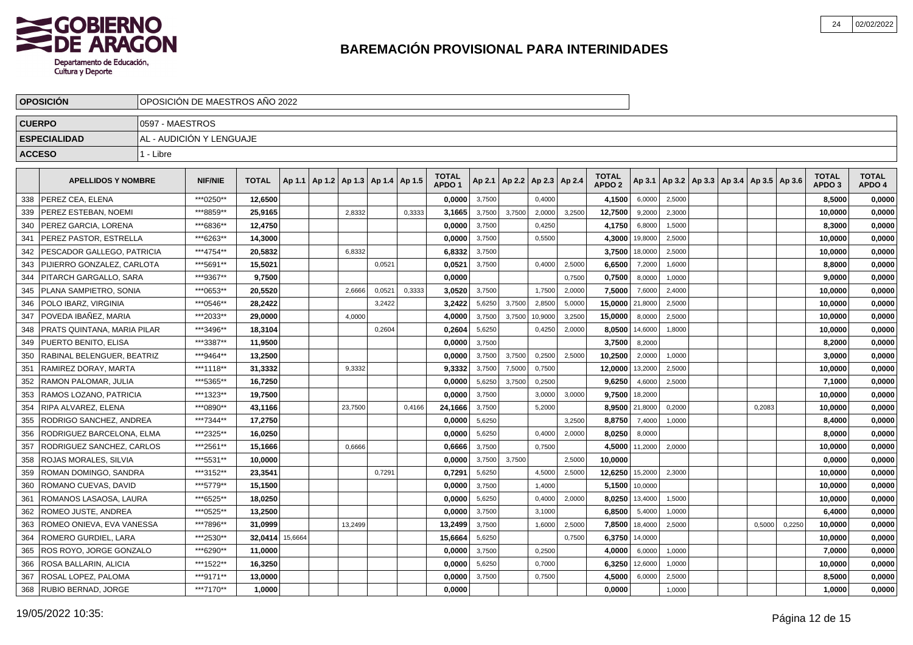

|               | <b>OPOSICION</b>                   |                 | OPOSICION DE MAESTROS ANO 2022 |              |         |                       |        |        |                                   |        |        |               |        |                                   |         |                                            |  |        |        |                                   |                        |
|---------------|------------------------------------|-----------------|--------------------------------|--------------|---------|-----------------------|--------|--------|-----------------------------------|--------|--------|---------------|--------|-----------------------------------|---------|--------------------------------------------|--|--------|--------|-----------------------------------|------------------------|
| <b>CUERPO</b> |                                    | 0597 - MAESTROS |                                |              |         |                       |        |        |                                   |        |        |               |        |                                   |         |                                            |  |        |        |                                   |                        |
|               | <b>ESPECIALIDAD</b>                |                 | AL - AUDICIÓN Y LENGUAJE       |              |         |                       |        |        |                                   |        |        |               |        |                                   |         |                                            |  |        |        |                                   |                        |
| <b>ACCESO</b> |                                    | 1 - Libre       |                                |              |         |                       |        |        |                                   |        |        |               |        |                                   |         |                                            |  |        |        |                                   |                        |
|               |                                    |                 |                                |              |         |                       |        |        |                                   |        |        |               |        |                                   |         |                                            |  |        |        |                                   |                        |
|               | <b>APELLIDOS Y NOMBRE</b>          |                 | <b>NIF/NIE</b>                 | <b>TOTAL</b> | Ap 1.1  | Ap1.2   Ap1.3   Ap1.4 |        | Ap 1.5 | <b>TOTAL</b><br>APDO <sub>1</sub> | Ap 2.1 | Ap 2.2 | Ap 2.3 Ap 2.4 |        | <b>TOTAL</b><br>APDO <sub>2</sub> | Ap 3.1  | Ap 3.2   Ap 3.3   Ap 3.4   Ap 3.5   Ap 3.6 |  |        |        | <b>TOTAL</b><br>APDO <sub>3</sub> | <b>TOTAL</b><br>APDO 4 |
| 338           | <b>PEREZ CEA, ELENA</b>            |                 | ***0250**                      | 12,6500      |         |                       |        |        | 0,0000                            | 3,7500 |        | 0,4000        |        | 4,1500                            | 6,0000  | 2,5000                                     |  |        |        | 8,5000                            | 0,0000                 |
| 339           | PEREZ ESTEBAN, NOEMI               |                 | ***8859**                      | 25,9165      |         | 2,8332                |        | 0,3333 | 3,1665                            | 3,7500 | 3,7500 | 2,0000        | 3,2500 | 12,7500                           | 9,2000  | 2,3000                                     |  |        |        | 10,0000                           | 0,0000                 |
| 340           | PEREZ GARCIA, LORENA               |                 | ***6836**                      | 12,4750      |         |                       |        |        | 0.0000                            | 3,7500 |        | 0,4250        |        | 4,1750                            | 6,8000  | 1,5000                                     |  |        |        | 8.3000                            | 0,0000                 |
| 341           | PEREZ PASTOR, ESTRELLA             |                 | ***6263**                      | 14.3000      |         |                       |        |        | 0.0000                            | 3,7500 |        | 0,5500        |        | 4,3000                            | 19.8000 | 2,5000                                     |  |        |        | 10,0000                           | 0,0000                 |
| 342           | PESCADOR GALLEGO, PATRICIA         |                 | ***4754**                      | 20,5832      |         | 6,8332                |        |        | 6,8332                            | 3,7500 |        |               |        | 3,7500                            | 18,0000 | 2,5000                                     |  |        |        | 10,0000                           | 0,0000                 |
| 343           | PIJIERRO GONZALEZ, CARLOTA         |                 | ***5691**                      | 15,5021      |         |                       | 0,0521 |        | 0.0521                            | 3,7500 |        | 0,4000        | 2,5000 | 6,6500                            | 7,2000  | 1,6000                                     |  |        |        | 8,8000                            | 0,0000                 |
| 344           | PITARCH GARGALLO, SARA             |                 | ***9367**                      | 9,7500       |         |                       |        |        | 0.0000                            |        |        |               | 0,7500 | 0,7500                            | 8,0000  | 1,0000                                     |  |        |        | 9,0000                            | 0,0000                 |
| 345           | PLANA SAMPIETRO, SONIA             |                 | ***0653**                      | 20,5520      |         | 2,6666                | 0,0521 | 0,3333 | 3,0520                            | 3,7500 |        | 1,7500        | 2,0000 | 7,5000                            | 7,6000  | 2,4000                                     |  |        |        | 10,0000                           | 0,0000                 |
| 346           | POLO IBARZ, VIRGINIA               |                 | ***0546**                      | 28,2422      |         |                       | 3,2422 |        | 3,2422                            | 5,6250 | 3,7500 | 2,8500        | 5,0000 | 15,0000                           | 21,8000 | 2,5000                                     |  |        |        | 10,0000                           | 0,0000                 |
| 347           | POVEDA IBAÑEZ, MARIA               |                 | ***2033**                      | 29,0000      |         | 4,0000                |        |        | 4,0000                            | 3,7500 | 3,7500 | 10,9000       | 3,2500 | 15,0000                           | 8,0000  | 2,5000                                     |  |        |        | 10,0000                           | 0,0000                 |
| 348           | <b>PRATS QUINTANA, MARIA PILAR</b> |                 | ***3496**                      | 18,3104      |         |                       | 0.2604 |        | 0,2604                            | 5,6250 |        | 0,4250        | 2,0000 | 8,0500                            | 14,6000 | 1,8000                                     |  |        |        | 10,0000                           | 0,0000                 |
| 349           | <b>I PUERTO BENITO. ELISA</b>      |                 | ***3387**                      | 11,9500      |         |                       |        |        | 0,0000                            | 3,7500 |        |               |        | 3,7500                            | 8,2000  |                                            |  |        |        | 8,2000                            | 0,0000                 |
| 350           | RABINAL BELENGUER. BEATRIZ         |                 | ***9464**                      | 13,2500      |         |                       |        |        | 0,0000                            | 3,7500 | 3,7500 | 0,2500        | 2,5000 | 10,2500                           | 2,0000  | 1,0000                                     |  |        |        | 3,0000                            | 0,0000                 |
| 351           | RAMIREZ DORAY. MARTA               |                 | ***1118**                      | 31,3332      |         | 9,3332                |        |        | 9,3332                            | 3,7500 | 7,5000 | 0,7500        |        | 12,0000                           | 13,2000 | 2,5000                                     |  |        |        | 10,0000                           | 0,0000                 |
| 352           | <b>RAMON PALOMAR, JULIA</b>        |                 | ***5365**                      | 16,7250      |         |                       |        |        | 0,0000                            | 5,6250 | 3,7500 | 0,2500        |        | 9,6250                            | 4,6000  | 2,5000                                     |  |        |        | 7,1000                            | 0,0000                 |
| 353           | RAMOS LOZANO, PATRICIA             |                 | ***1323**                      | 19,7500      |         |                       |        |        | 0,0000                            | 3,7500 |        | 3,0000        | 3,0000 | 9,7500                            | 18,2000 |                                            |  |        |        | 10,0000                           | 0,0000                 |
| 354           | RIPA ALVAREZ, ELENA                |                 | ***0890**                      | 43,1166      |         | 23,7500               |        | 0,4166 | 24,1666                           | 3,7500 |        | 5,2000        |        | 8,9500                            | 21,8000 | 0,2000                                     |  | 0,2083 |        | 10,0000                           | 0,0000                 |
| 355           | RODRIGO SANCHEZ, ANDREA            |                 | ***7344**                      | 17,2750      |         |                       |        |        | 0,0000                            | 5,6250 |        |               | 3,2500 | 8,8750                            | 7,4000  | 1,0000                                     |  |        |        | 8,4000                            | 0,0000                 |
| 356           | RODRIGUEZ BARCELONA, ELMA          |                 | ***2325**                      | 16,0250      |         |                       |        |        | 0,0000                            | 5,6250 |        | 0,4000        | 2,0000 | 8,0250                            | 8,0000  |                                            |  |        |        | 8,0000                            | 0,0000                 |
| 357           | RODRIGUEZ SANCHEZ, CARLOS          |                 | ***2561**                      | 15.1666      |         | 0,6666                |        |        | 0.6666                            | 3,7500 |        | 0,7500        |        | 4,5000                            | 11,2000 | 2,0000                                     |  |        |        | 10.0000                           | 0.0000                 |
| 358           | <b>ROJAS MORALES, SILVIA</b>       |                 | ***5531**                      | 10.0000      |         |                       |        |        | 0,0000                            | 3,7500 | 3.7500 |               | 2,5000 | 10,0000                           |         |                                            |  |        |        | 0.0000                            | 0,0000                 |
| 359           | ROMAN DOMINGO, SANDRA              |                 | ***3152**                      | 23,3541      |         |                       | 0.7291 |        | 0,7291                            | 5,6250 |        | 4,5000        | 2,5000 | 12,6250                           | 15,2000 | 2,3000                                     |  |        |        | 10,0000                           | 0,0000                 |
| 360           | ROMANO CUEVAS, DAVID               |                 | ***5779**                      | 15,1500      |         |                       |        |        | 0,0000                            | 3,7500 |        | 1,4000        |        | 5,1500                            | 10,0000 |                                            |  |        |        | 10,0000                           | 0,0000                 |
| 361           | ROMANOS LASAOSA, LAURA             |                 | ***6525**                      | 18,0250      |         |                       |        |        | 0,0000                            | 5,6250 |        | 0,4000        | 2,0000 | 8,0250                            | 13,4000 | 1,5000                                     |  |        |        | 10,0000                           | 0,0000                 |
| 362           | <b>ROMEO JUSTE, ANDREA</b>         |                 | ***0525**                      | 13,2500      |         |                       |        |        | 0,0000                            | 3,7500 |        | 3,1000        |        | 6,8500                            | 5,4000  | 1,0000                                     |  |        |        | 6,4000                            | 0,0000                 |
| 363           | ROMEO ONIEVA, EVA VANESSA          |                 | ***7896**                      | 31,0999      |         | 13,2499               |        |        | 13,2499                           | 3,7500 |        | 1,6000        | 2,5000 | 7,8500                            | 18,4000 | 2,5000                                     |  | 0,5000 | 0,2250 | 10,0000                           | 0,0000                 |
| 364           | ROMERO GURDIEL, LARA               |                 | ***2530**                      | 32,0414      | 15,6664 |                       |        |        | 15,6664                           | 5,6250 |        |               | 0,7500 | 6,3750                            | 14,0000 |                                            |  |        |        | 10,0000                           | 0,0000                 |
| 365           | ROS ROYO, JORGE GONZALO            |                 | ***6290**                      | 11.0000      |         |                       |        |        | 0.0000                            | 3,7500 |        | 0,2500        |        | 4,0000                            | 6,0000  | 1,0000                                     |  |        |        | 7.0000                            | 0,0000                 |
| 366           | <b>ROSA BALLARIN. ALICIA</b>       |                 | ***1522**                      | 16,3250      |         |                       |        |        | 0.0000                            | 5,6250 |        | 0,7000        |        | 6,3250                            | 12,6000 | 1,0000                                     |  |        |        | 10,0000                           | 0,0000                 |
| 367           | ROSAL LOPEZ, PALOMA                |                 | ***9171**                      | 13,0000      |         |                       |        |        | 0,0000                            | 3,7500 |        | 0,7500        |        | 4,5000                            | 6,0000  | 2,5000                                     |  |        |        | 8,5000                            | 0,0000                 |
|               | 368   RUBIO BERNAD, JORGE          |                 | ***7170**                      | 1,0000       |         |                       |        |        | 0.0000                            |        |        |               |        | 0,0000                            |         | 1,0000                                     |  |        |        | 1.0000                            | 0,0000                 |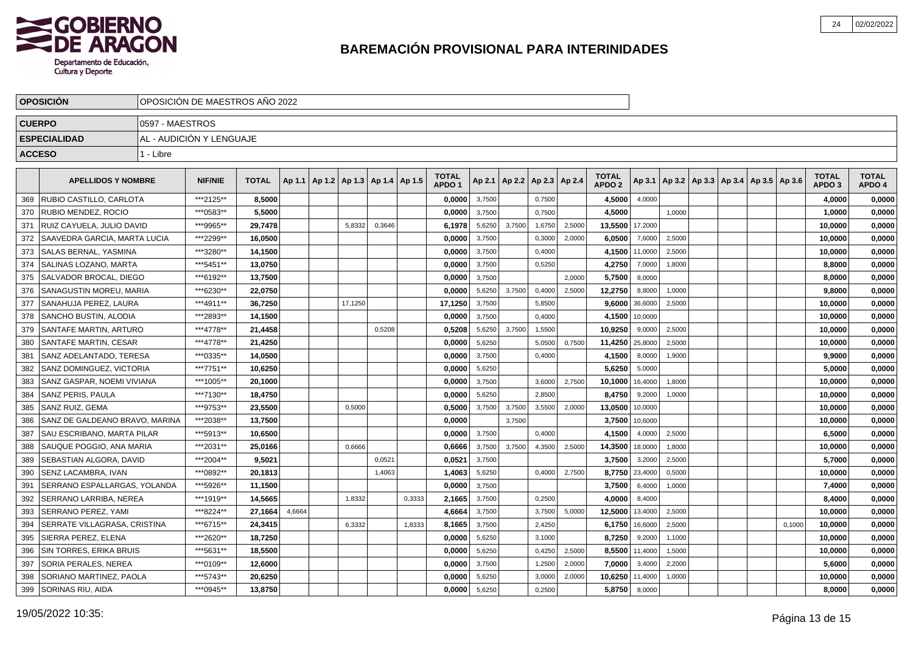

| <b>OPOSICION</b> |                                     | OPOSICIÓN DE MAESTROS AÑO 2022 |                          |              |        |                                   |        |        |                                   |        |        |               |        |                                   |         |        |                                            |  |        |                                   |                        |
|------------------|-------------------------------------|--------------------------------|--------------------------|--------------|--------|-----------------------------------|--------|--------|-----------------------------------|--------|--------|---------------|--------|-----------------------------------|---------|--------|--------------------------------------------|--|--------|-----------------------------------|------------------------|
| <b>CUERPO</b>    |                                     | 0597 - MAESTROS                |                          |              |        |                                   |        |        |                                   |        |        |               |        |                                   |         |        |                                            |  |        |                                   |                        |
|                  | <b>ESPECIALIDAD</b>                 |                                | AL - AUDICIÓN Y LENGUAJE |              |        |                                   |        |        |                                   |        |        |               |        |                                   |         |        |                                            |  |        |                                   |                        |
| <b>ACCESO</b>    |                                     | 1 - Libre                      |                          |              |        |                                   |        |        |                                   |        |        |               |        |                                   |         |        |                                            |  |        |                                   |                        |
|                  |                                     |                                |                          |              |        |                                   |        |        |                                   |        |        |               |        |                                   |         |        |                                            |  |        |                                   |                        |
|                  | <b>APELLIDOS Y NOMBRE</b>           |                                | <b>NIF/NIE</b>           | <b>TOTAL</b> | Ap 1.1 | Ap 1.2   Ap 1.3   Ap 1.4   Ap 1.5 |        |        | <b>TOTAL</b><br>APDO <sub>1</sub> | Ap 2.1 | Ap 2.2 | Ap 2.3 Ap 2.4 |        | <b>TOTAL</b><br>APDO <sub>2</sub> | Ap 3.1  |        | Ap 3.2   Ap 3.3   Ap 3.4   Ap 3.5   Ap 3.6 |  |        | <b>TOTAL</b><br>APDO <sub>3</sub> | <b>TOTAL</b><br>APDO 4 |
| 369              | RUBIO CASTILLO, CARLOTA             |                                | ***2125**                | 8,5000       |        |                                   |        |        | 0,0000                            | 3,7500 |        | 0,7500        |        | 4,5000                            | 4,0000  |        |                                            |  |        | 4,0000                            | 0,0000                 |
| 370              | <b>RUBIO MENDEZ, ROCIO</b>          |                                | ***0583**                | 5,5000       |        |                                   |        |        | 0,0000                            | 3,7500 |        | 0,7500        |        | 4,5000                            |         | 1,0000 |                                            |  |        | 1,0000                            | 0,0000                 |
| 371              | RUIZ CAYUELA, JULIO DAVID           |                                | ***9965**                | 29,7478      |        | 5,8332                            | 0,3646 |        | 6,1978                            | 5,6250 | 3,7500 | 1,6750        | 2,5000 | 13,5500                           | 17,2000 |        |                                            |  |        | 10,0000                           | 0,0000                 |
| 372              | <b>SAAVEDRA GARCIA, MARTA LUCIA</b> |                                | ***2299**                | 16,0500      |        |                                   |        |        | 0,0000                            | 3,7500 |        | 0,3000        | 2,0000 | 6,0500                            | 7,6000  | 2,5000 |                                            |  |        | 10,0000                           | 0,0000                 |
| 373              | <b>SALAS BERNAL, YASMINA</b>        |                                | ***3280**                | 14,1500      |        |                                   |        |        | 0,0000                            | 3,7500 |        | 0,4000        |        | 4,1500                            | 11,0000 | 2,5000 |                                            |  |        | 10,0000                           | 0,0000                 |
| 374              | <b>SALINAS LOZANO, MARTA</b>        |                                | ***5451**                | 13.0750      |        |                                   |        |        | 0.0000                            | 3,7500 |        | 0,5250        |        | 4,2750                            | 7,0000  | 1,8000 |                                            |  |        | 8.8000                            | 0,0000                 |
| 375              | <b>SALVADOR BROCAL. DIEGO</b>       |                                | ***6192**                | 13.7500      |        |                                   |        |        | 0.0000                            | 3,7500 |        |               | 2,0000 | 5,7500                            | 8,0000  |        |                                            |  |        | 8.0000                            | 0,0000                 |
| 376              | SANAGUSTIN MOREU, MARIA             |                                | ***6230**                | 22.0750      |        |                                   |        |        | 0,0000                            | 5,6250 | 3.7500 | 0,4000        | 2,5000 | 12,2750                           | 8,8000  | 1,0000 |                                            |  |        | 9,8000                            | 0,0000                 |
| 377              | <b>SANAHUJA PEREZ. LAURA</b>        |                                | ***4911**                | 36,7250      |        | 17,1250                           |        |        | 17,1250                           | 3,7500 |        | 5,8500        |        | 9,6000                            | 36,6000 | 2,5000 |                                            |  |        | 10,0000                           | 0,0000                 |
| 378              | SANCHO BUSTIN, ALODIA               |                                | ***2893**                | 14,1500      |        |                                   |        |        | 0,0000                            | 3,7500 |        | 0,4000        |        | 4,1500                            | 10,0000 |        |                                            |  |        | 10,0000                           | 0,0000                 |
| 379              | <b>SANTAFE MARTIN, ARTURO</b>       |                                | ***4778**                | 21,4458      |        |                                   | 0.5208 |        | 0,5208                            | 5,6250 | 3,7500 | 1,5500        |        | 10,9250                           | 9,0000  | 2,5000 |                                            |  |        | 10,0000                           | 0,0000                 |
| 380              | <b>SANTAFE MARTIN, CESAR</b>        |                                | ***4778**                | 21,4250      |        |                                   |        |        | 0,0000                            | 5,6250 |        | 5,0500        | 0,7500 | 11,4250                           | 25,8000 | 2,5000 |                                            |  |        | 10,0000                           | 0,0000                 |
| 381              | SANZ ADELANTADO, TERESA             |                                | ***0335**                | 14,0500      |        |                                   |        |        | 0,0000                            | 3,7500 |        | 0,4000        |        | 4,1500                            | 8,0000  | 1,9000 |                                            |  |        | 9,9000                            | 0,0000                 |
| 382              | SANZ DOMINGUEZ, VICTORIA            |                                | ***7751**                | 10,6250      |        |                                   |        |        | 0,0000                            | 5,6250 |        |               |        | 5,6250                            | 5,0000  |        |                                            |  |        | 5,0000                            | 0,0000                 |
| 383              | <b>SANZ GASPAR, NOEMI VIVIANA</b>   |                                | ***1005**                | 20,1000      |        |                                   |        |        | 0,0000                            | 3,7500 |        | 3,6000        | 2,7500 | 10,1000                           | 16,4000 | 1,8000 |                                            |  |        | 10,0000                           | 0,0000                 |
| 384              | SANZ PERIS, PAULA                   |                                | ***7130**                | 18,4750      |        |                                   |        |        | 0,0000                            | 5,6250 |        | 2.8500        |        | 8,4750                            | 9,2000  | 1,0000 |                                            |  |        | 10,0000                           | 0,0000                 |
| 385              | <b>SANZ RUIZ. GEMA</b>              |                                | ***9753**                | 23.5500      |        | 0.5000                            |        |        | 0,5000                            | 3,7500 | 3,7500 | 3,5500        | 2.0000 | 13,0500                           | 10,0000 |        |                                            |  |        | 10,0000                           | 0,0000                 |
| 386              | SANZ DE GALDEANO BRAVO, MARINA      |                                | ***2038**                | 13.7500      |        |                                   |        |        | 0.0000                            |        | 3,7500 |               |        | 3,7500                            | 10,6000 |        |                                            |  |        | 10,0000                           | 0,0000                 |
| 387              | SAU ESCRIBANO, MARTA PILAR          |                                | ***5913**                | 10,6500      |        |                                   |        |        | 0,0000                            | 3,7500 |        | 0,4000        |        | 4,1500                            | 4,0000  | 2,5000 |                                            |  |        | 6,5000                            | 0,0000                 |
| 388              | SAUQUE POGGIO, ANA MARIA            |                                | ***2031**                | 25,0166      |        | 0,6666                            |        |        | 0,6666                            | 3,7500 | 3.7500 | 4,3500        | 2,5000 | 14,3500                           | 18,0000 | 1,8000 |                                            |  |        | 10,0000                           | 0,0000                 |
| 389              | SEBASTIAN ALGORA, DAVID             |                                | ***2004**                | 9,5021       |        |                                   | 0,0521 |        | 0,0521                            | 3,7500 |        |               |        | 3,7500                            | 3,2000  | 2,5000 |                                            |  |        | 5,7000                            | 0,0000                 |
| 390              | SENZ LACAMBRA, IVAN                 |                                | ***0892**                | 20,1813      |        |                                   | 1,4063 |        | 1,4063                            | 5,6250 |        | 0,4000        | 2,7500 | 8,7750                            | 23,4000 | 0,5000 |                                            |  |        | 10,0000                           | 0,0000                 |
| 391              | SERRANO ESPALLARGAS, YOLANDA        |                                | ***5926**                | 11,1500      |        |                                   |        |        | 0,0000                            | 3,7500 |        |               |        | 3,7500                            | 6,4000  | 1,0000 |                                            |  |        | 7,4000                            | 0,0000                 |
| 392              | SERRANO LARRIBA, NEREA              |                                | ***1919**                | 14,5665      |        | 1,8332                            |        | 0,3333 | 2,1665                            | 3,7500 |        | 0,2500        |        | 4,0000                            | 8,4000  |        |                                            |  |        | 8,4000                            | 0,0000                 |
| 393              | <b>SERRANO PEREZ, YAMI</b>          |                                | ***8224**                | 27,1664      | 4,6664 |                                   |        |        | 4,6664                            | 3,7500 |        | 3,7500        | 5,0000 | 12,5000                           | 13,4000 | 2,5000 |                                            |  |        | 10,0000                           | 0,0000                 |
| 394              | <b>SERRATE VILLAGRASA, CRISTINA</b> |                                | ***6715**                | 24,3415      |        | 6,3332                            |        | 1,8333 | 8,1665                            | 3,7500 |        | 2,4250        |        | 6,1750                            | 16,6000 | 2,5000 |                                            |  | 0,1000 | 10,0000                           | 0,0000                 |
| 395              | SIERRA PEREZ, ELENA                 |                                | ***2620**                | 18,7250      |        |                                   |        |        | 0,0000                            | 5,6250 |        | 3,1000        |        | 8,7250                            | 9,2000  | 1,1000 |                                            |  |        | 10,0000                           | 0,0000                 |
| 396              | <b>SIN TORRES, ERIKA BRUIS</b>      |                                | ***5631**                | 18,5500      |        |                                   |        |        | 0,0000                            | 5,6250 |        | 0,4250        | 2,5000 | 8,5500                            | 11,4000 | 1,5000 |                                            |  |        | 10,0000                           | 0,0000                 |
| 397              | <b>SORIA PERALES, NEREA</b>         |                                | ***0109**                | 12,6000      |        |                                   |        |        | 0,0000                            | 3,7500 |        | 1,2500        | 2,0000 | 7,0000                            | 3,4000  | 2,2000 |                                            |  |        | 5.6000                            | 0,0000                 |
| 398              | <b>SORIANO MARTINEZ, PAOLA</b>      |                                | ***5743**                | 20,6250      |        |                                   |        |        | 0,0000                            | 5,6250 |        | 3,0000        | 2,0000 | 10,6250                           | 11,4000 | 1,0000 |                                            |  |        | 10,0000                           | 0,0000                 |
|                  | 399   SORINAS RIU, AIDA             |                                | ***0945**                | 13,8750      |        |                                   |        |        | 0,0000                            | 5,6250 |        | 0,2500        |        | 5,8750                            | 8,0000  |        |                                            |  |        | 8.0000                            | 0,0000                 |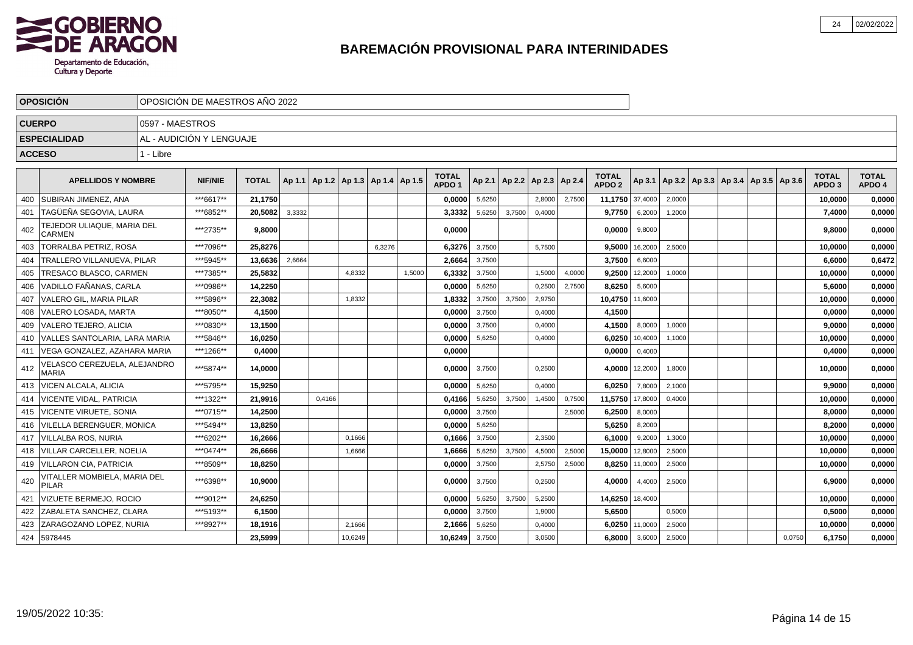

|               | <b>OPOSICIÓN</b>                             |                 | OPOSICIÓN DE MAESTROS AÑO 2022 |              |        |                                            |        |        |         |                                   |        |        |                          |        |                                   |         |        |  |                                                     |        |                                   |                        |
|---------------|----------------------------------------------|-----------------|--------------------------------|--------------|--------|--------------------------------------------|--------|--------|---------|-----------------------------------|--------|--------|--------------------------|--------|-----------------------------------|---------|--------|--|-----------------------------------------------------|--------|-----------------------------------|------------------------|
| <b>CUERPO</b> |                                              | 0597 - MAESTROS |                                |              |        |                                            |        |        |         |                                   |        |        |                          |        |                                   |         |        |  |                                                     |        |                                   |                        |
|               | <b>ESPECIALIDAD</b>                          |                 | AL - AUDICIÓN Y LENGUAJE       |              |        |                                            |        |        |         |                                   |        |        |                          |        |                                   |         |        |  |                                                     |        |                                   |                        |
| <b>ACCESO</b> |                                              | 1 - Libre       |                                |              |        |                                            |        |        |         |                                   |        |        |                          |        |                                   |         |        |  |                                                     |        |                                   |                        |
|               |                                              |                 |                                |              |        |                                            |        |        |         |                                   |        |        |                          |        |                                   |         |        |  |                                                     |        |                                   |                        |
|               | <b>APELLIDOS Y NOMBRE</b>                    |                 | <b>NIF/NIE</b>                 | <b>TOTAL</b> |        | Ap 1.1   Ap 1.2   Ap 1.3   Ap 1.4   Ap 1.5 |        |        |         | <b>TOTAL</b><br>APDO <sub>1</sub> | Ap 2.1 |        | Ap 2.2   Ap 2.3   Ap 2.4 |        | <b>TOTAL</b><br>APDO <sub>2</sub> |         |        |  | Ap 3.1   Ap 3.2   Ap 3.3   Ap 3.4   Ap 3.5   Ap 3.6 |        | <b>TOTAL</b><br>APDO <sub>3</sub> | <b>TOTAL</b><br>APDO 4 |
| 400           | SUBIRAN JIMENEZ, ANA                         |                 | ***6617**                      | 21,1750      |        |                                            |        |        |         | 0,0000                            | 5,6250 |        | 2,8000                   | 2,7500 | 11,1750 37,4000                   |         | 2,0000 |  |                                                     |        | 10,0000                           | 0,0000                 |
| 401           | TAGÜEÑA SEGOVIA, LAURA                       |                 | ***6852**                      | 20.5082      | 3,3332 |                                            |        |        |         | 3,3332                            | 5,6250 | 3,7500 | 0,4000                   |        | 9,7750                            | 6,2000  | 1,2000 |  |                                                     |        | 7,4000                            | 0,0000                 |
| 402           | TEJEDOR ULIAQUE, MARIA DEL<br>CARMEN         |                 | ***2735**                      | 9.8000       |        |                                            |        |        |         | 0,0000                            |        |        |                          |        | 0.0000                            | 9,8000  |        |  |                                                     |        | 9,8000                            | 0,0000                 |
| 403           | <b>TORRALBA PETRIZ, ROSA</b>                 |                 | ***7096**                      | 25.8276      |        |                                            |        | 6,3276 |         | 6,3276                            | 3,7500 |        | 5,7500                   |        | 9.5000                            | 16,2000 | 2,5000 |  |                                                     |        | 10.0000                           | 0,0000                 |
| 404           | TRALLERO VILLANUEVA, PILAR                   |                 | ***5945**                      | 13.6636      | 2,6664 |                                            |        |        |         | 2,6664                            | 3,7500 |        |                          |        | 3,7500                            | 6,6000  |        |  |                                                     |        | 6,6000                            | 0,6472                 |
| 405           | TRESACO BLASCO, CARMEN                       |                 | ***7385**                      | 25.5832      |        |                                            | 4,8332 |        | 1,5000  | 6.3332                            | 3,7500 |        | 1,5000                   | 4,0000 | 9,2500                            | 12,2000 | 1,0000 |  |                                                     |        | 10,0000                           | 0,0000                 |
| 406           | VADILLO FAÑANAS. CARLA                       |                 | ***0986**                      | 14,2250      |        |                                            |        |        |         | 0,0000                            | 5,6250 |        | 0,2500                   | 2.7500 | 8,6250                            | 5,6000  |        |  |                                                     |        | 5,6000                            | 0,0000                 |
| 407           | <b>VALERO GIL. MARIA PILAR</b>               |                 | ***5896**                      | 22,3082      |        |                                            | 1,8332 |        |         | 1,8332                            | 3,7500 | 3.7500 | 2,9750                   |        | 10,4750                           | 11,6000 |        |  |                                                     |        | 10,0000                           | 0,0000                 |
| 408           | VALERO LOSADA, MARTA                         |                 | ***8050**                      | 4,1500       |        |                                            |        |        |         | 0,0000                            | 3,7500 |        | 0,4000                   |        | 4,1500                            |         |        |  |                                                     |        | 0,0000                            | 0,0000                 |
| 409           | VALERO TEJERO, ALICIA                        |                 | ***0830**                      | 13,1500      |        |                                            |        |        |         | 0,0000                            | 3,7500 |        | 0,4000                   |        | 4,1500                            | 8,0000  | 1,0000 |  |                                                     |        | 9,0000                            | 0,0000                 |
| 410           | VALLES SANTOLARIA, LARA MARIA                |                 | ***5846**                      | 16,0250      |        |                                            |        |        |         | 0.0000                            | 5,6250 |        | 0,4000                   |        | 6,0250                            | 10,4000 | 1,1000 |  |                                                     |        | 10,0000                           | 0,0000                 |
| 411           | VEGA GONZALEZ, AZAHARA MARIA                 |                 | ***1266**                      | 0.4000       |        |                                            |        |        |         | 0.0000                            |        |        |                          |        | 0,0000                            | 0,4000  |        |  |                                                     |        | 0.4000                            | 0,0000                 |
| 412           | VELASCO CEREZUELA. ALEJANDRO<br>MARIA        |                 | ***5874**                      | 14.0000      |        |                                            |        |        |         | 0.00001                           | 3,7500 |        | 0,2500                   |        | 4.0000                            | 12,2000 | 1,8000 |  |                                                     |        | 10.0000                           | 0,0000                 |
| 413           | VICEN ALCALA, ALICIA                         |                 | ***5795**                      | 15,9250      |        |                                            |        |        |         | 0.0000                            | 5,6250 |        | 0,4000                   |        | 6,0250                            | 7,8000  | 2,1000 |  |                                                     |        | 9,9000                            | 0,0000                 |
|               | 414   VICENTE VIDAL, PATRICIA                |                 | ***1322**                      | 21.9916      |        | 0.4166                                     |        |        |         | 0,4166                            | 5,6250 | 3.7500 | 1,4500                   | 0,7500 | 11,5750                           | 17,8000 | 0,4000 |  |                                                     |        | 10,0000                           | 0,0000                 |
| 415           | <b>IVICENTE VIRUETE, SONIA</b>               |                 | ***0715**                      | 14,2500      |        |                                            |        |        |         | 0,0000                            | 3,7500 |        |                          | 2,5000 | 6,2500                            | 8,0000  |        |  |                                                     |        | 8,0000                            | 0,0000                 |
| 416           | <b>VILELLA BERENGUER, MONICA</b>             |                 | ***5494**                      | 13.8250      |        |                                            |        |        |         | 0,0000                            | 5,6250 |        |                          |        | 5,6250                            | 8,2000  |        |  |                                                     |        | 8,2000                            | 0,0000                 |
| 417           | <b>VILLALBA ROS, NURIA</b>                   |                 | ***6202**                      | 16,2666      |        |                                            | 0,1666 |        |         | 0,1666                            | 3,7500 |        | 2,3500                   |        | 6,1000                            | 9,2000  | 1,3000 |  |                                                     |        | 10,0000                           | 0,0000                 |
| 418           | VILLAR CARCELLER. NOELIA                     |                 | ***0474**                      | 26,6666      |        |                                            | 1,6666 |        |         | 1,6666                            | 5,6250 | 3,7500 | 4,5000                   | 2,5000 | 15,0000                           | 12,8000 | 2,5000 |  |                                                     |        | 10,0000                           | 0,0000                 |
|               | 419   VILLARON CIA, PATRICIA                 |                 | ***8509**                      | 18,8250      |        |                                            |        |        |         | 0,0000                            | 3,7500 |        | 2,5750                   | 2,5000 | 8,8250                            | 11,0000 | 2,5000 |  |                                                     |        | 10,0000                           | 0,0000                 |
| 420           | VITALLER MOMBIELA, MARIA DEL<br><b>PILAR</b> |                 | ***6398**                      | 10.9000      |        |                                            |        |        |         | 0.0000                            | 3,7500 |        | 0,2500                   |        | 4.0000                            | 4,4000  | 2,5000 |  |                                                     |        | 6.9000                            | 0,0000                 |
| 421           | VIZUETE BERMEJO, ROCIO                       |                 | ***9012**                      | 24,6250      |        |                                            |        |        |         | 0,0000                            | 5,6250 | 3,7500 | 5,2500                   |        | 14,6250 18,4000                   |         |        |  |                                                     |        | 10,0000                           | 0,0000                 |
| 422           | <b>ZABALETA SANCHEZ, CLARA</b>               |                 | ***5193**                      | 6,1500       |        |                                            |        |        |         | 0.0000                            | 3,7500 |        | 1,9000                   |        | 5,6500                            |         | 0,5000 |  |                                                     |        | 0,5000                            | 0,0000                 |
| 423           | ZARAGOZANO LOPEZ. NURIA                      |                 | ***8927**                      | 18,1916      |        |                                            | 2,1666 |        |         | 2,1666                            | 5,6250 |        | 0,4000                   |        | 6,0250                            | 11,0000 | 2,5000 |  |                                                     |        | 10,0000                           | 0,0000                 |
|               | 424 5978445                                  |                 | 23,5999                        |              |        | 10,6249                                    |        |        | 10,6249 | 3,7500                            |        | 3,0500 |                          | 6.8000 | 3,6000                            | 2,5000  |        |  | 0,0750                                              | 6,1750 | 0,0000                            |                        |